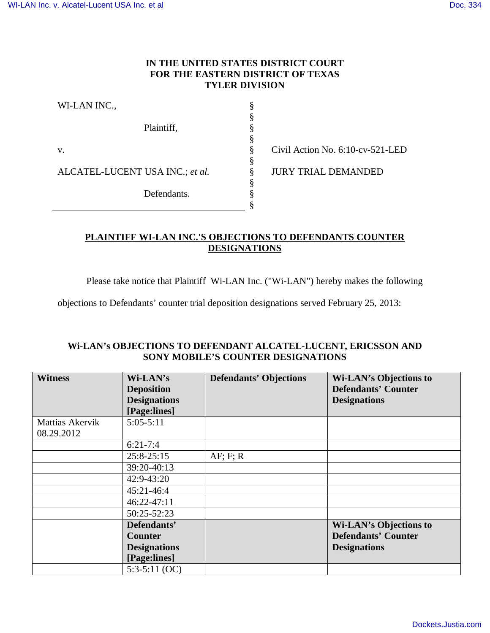## **IN THE UNITED STATES DISTRICT COURT FOR THE EASTERN DISTRICT OF TEXAS TYLER DIVISION**

§ § § § § § § § § §

| WI-LAN INC.,                    |             |
|---------------------------------|-------------|
|                                 | Plaintiff,  |
| V.                              |             |
| ALCATEL-LUCENT USA INC.; et al. |             |
|                                 | Defendants. |

Civil Action No. 6:10-cv-521-LED

JURY TRIAL DEMANDED

# **PLAINTIFF WI-LAN INC.'S OBJECTIONS TO DEFENDANTS COUNTER DESIGNATIONS**

Please take notice that Plaintiff Wi-LAN Inc. ("Wi-LAN") hereby makes the following

objections to Defendants' counter trial deposition designations served February 25, 2013:

### **Wi-LAN's OBJECTIONS TO DEFENDANT ALCATEL-LUCENT, ERICSSON AND SONY MOBILE'S COUNTER DESIGNATIONS**

| <b>Witness</b>  | Wi-LAN's            | <b>Defendants' Objections</b> | <b>Wi-LAN's Objections to</b> |
|-----------------|---------------------|-------------------------------|-------------------------------|
|                 | <b>Deposition</b>   |                               | <b>Defendants' Counter</b>    |
|                 | <b>Designations</b> |                               | <b>Designations</b>           |
|                 | [Page:lines]        |                               |                               |
| Mattias Akervik | $5:05-5:11$         |                               |                               |
| 08.29.2012      |                     |                               |                               |
|                 | $6:21-7:4$          |                               |                               |
|                 | $25:8-25:15$        | AF: F: R                      |                               |
|                 | 39:20-40:13         |                               |                               |
|                 | 42:9-43:20          |                               |                               |
|                 | 45:21-46:4          |                               |                               |
|                 | 46:22-47:11         |                               |                               |
|                 | 50:25-52:23         |                               |                               |
|                 | Defendants'         |                               | <b>Wi-LAN's Objections to</b> |
|                 | <b>Counter</b>      |                               | <b>Defendants' Counter</b>    |
|                 | <b>Designations</b> |                               | <b>Designations</b>           |
|                 | [Page:lines]        |                               |                               |
|                 | $5:3-5:11$ (OC)     |                               |                               |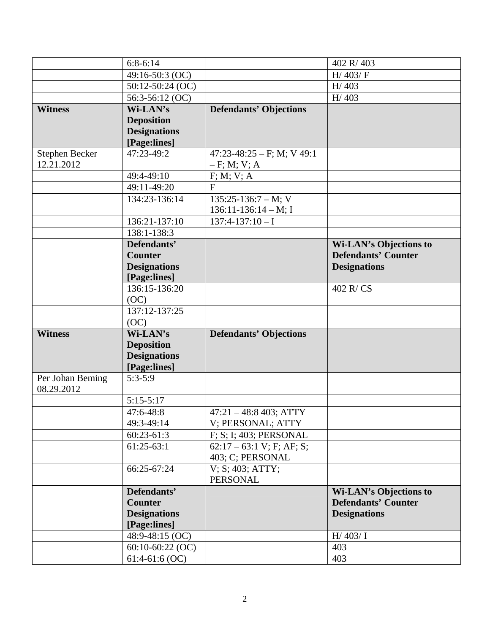|                  | $6:8-6:14$                             |                               | 402 R/403                     |
|------------------|----------------------------------------|-------------------------------|-------------------------------|
|                  | 49:16-50:3 (OC)                        |                               | H/403/F                       |
|                  | $50:12-50:24$ (OC)                     |                               | H/403                         |
|                  | 56:3-56:12 (OC)                        |                               | H/403                         |
| <b>Witness</b>   | Wi-LAN's                               | <b>Defendants' Objections</b> |                               |
|                  | <b>Deposition</b>                      |                               |                               |
|                  | <b>Designations</b>                    |                               |                               |
|                  | [Page:lines]                           |                               |                               |
| Stephen Becker   | 47:23-49:2                             | $47:23-48:25-F$ ; M; V 49:1   |                               |
| 12.21.2012       |                                        | $-F; M; V; A$                 |                               |
|                  | 49:4-49:10                             | F; M; V; A                    |                               |
|                  | 49:11-49:20                            | F                             |                               |
|                  | 134:23-136:14                          | $135:25-136:7-M; V$           |                               |
|                  |                                        | $136:11-136:14-M;$ I          |                               |
|                  | 136:21-137:10                          | $137:4-137:10-I$              |                               |
|                  | 138:1-138:3                            |                               |                               |
|                  | Defendants'                            |                               | <b>Wi-LAN's Objections to</b> |
|                  | <b>Counter</b>                         |                               | <b>Defendants' Counter</b>    |
|                  | <b>Designations</b>                    |                               | <b>Designations</b>           |
|                  | [Page:lines]                           |                               |                               |
|                  | 136:15-136:20                          |                               | 402 R/CS                      |
|                  | (OC)                                   |                               |                               |
|                  | 137:12-137:25                          |                               |                               |
|                  | (OC)                                   |                               |                               |
| <b>Witness</b>   | Wi-LAN's                               | <b>Defendants' Objections</b> |                               |
|                  | <b>Deposition</b>                      |                               |                               |
|                  | <b>Designations</b>                    |                               |                               |
|                  | [Page:lines]                           |                               |                               |
| Per Johan Beming | $5:3-5:9$                              |                               |                               |
| 08.29.2012       |                                        |                               |                               |
|                  | $5:15-5:17$                            |                               |                               |
|                  | 47:6-48:8                              | $47:21 - 48:8403$ ; ATTY      |                               |
|                  | 49:3-49:14                             | V; PERSONAL; ATTY             |                               |
|                  | $60:23-61:3$                           | F; S; I; 403; PERSONAL        |                               |
|                  | $61:25-63:1$                           | $62:17 - 63:1$ V; F; AF; S;   |                               |
|                  |                                        | 403; C; PERSONAL              |                               |
|                  | 66:25-67:24                            | V: S: 403: ATTY:              |                               |
|                  |                                        | <b>PERSONAL</b>               |                               |
|                  | Defendants'                            |                               | <b>Wi-LAN's Objections to</b> |
|                  | <b>Counter</b>                         |                               | <b>Defendants' Counter</b>    |
|                  | <b>Designations</b>                    |                               | <b>Designations</b>           |
|                  | [Page:lines]                           |                               |                               |
|                  |                                        |                               |                               |
|                  | 48:9-48:15 (OC)                        |                               | H/403/ I                      |
|                  | $60:10-60:22$ (OC)<br>$61:4-61:6$ (OC) |                               | 403<br>403                    |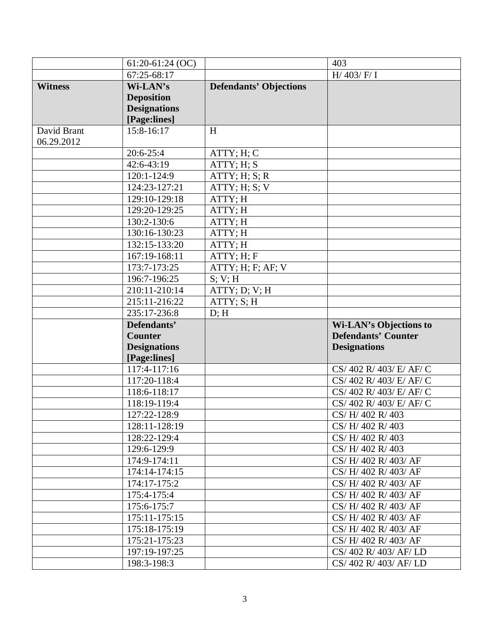|                | $61:20-61:24$ (OC)           |                               | 403                                          |
|----------------|------------------------------|-------------------------------|----------------------------------------------|
|                | $67:25-68:17$                |                               | $H/$ 403/ $F/$ I                             |
| <b>Witness</b> | Wi-LAN's                     | <b>Defendants' Objections</b> |                                              |
|                | <b>Deposition</b>            |                               |                                              |
|                | <b>Designations</b>          |                               |                                              |
|                | [Page:lines]                 |                               |                                              |
| David Brant    | 15:8-16:17                   | H                             |                                              |
| 06.29.2012     |                              |                               |                                              |
|                | $20:6-25:4$                  | ATTY; H; C                    |                                              |
|                | 42:6-43:19                   | ATTY; H; S                    |                                              |
|                | 120:1-124:9                  | ATTY; H; S; R                 |                                              |
|                | 124:23-127:21                | ATTY; H; S; V                 |                                              |
|                | 129:10-129:18                | ATTY; H                       |                                              |
|                | 129:20-129:25                | ATTY; H                       |                                              |
|                | 130:2-130:6                  | ATTY; H                       |                                              |
|                | 130:16-130:23                | ATTY; H                       |                                              |
|                | 132:15-133:20                | ATTY; H                       |                                              |
|                | 167:19-168:11                | ATTY; H; F                    |                                              |
|                | 173:7-173:25                 | ATTY; H; F; AF; V             |                                              |
|                | 196:7-196:25                 | S; V; H                       |                                              |
|                | 210:11-210:14                | ATTY; D; V; H                 |                                              |
|                | 215:11-216:22                | ATTY; S; H                    |                                              |
|                | 235:17-236:8                 | D; H                          |                                              |
|                | Defendants'                  |                               | <b>Wi-LAN's Objections to</b>                |
|                | <b>Counter</b>               |                               | <b>Defendants' Counter</b>                   |
|                |                              |                               |                                              |
|                | <b>Designations</b>          |                               | <b>Designations</b>                          |
|                | [Page:lines]                 |                               |                                              |
|                | 117:4-117:16                 |                               | CS/ 402 R/ 403/ E/ AF/ C                     |
|                | 117:20-118:4                 |                               | CS/ 402 R/ 403/ E/ AF/ C                     |
|                | 118:6-118:17                 |                               | CS/ 402 R/ 403/ E/ AF/ C                     |
|                | 118:19-119:4                 |                               | CS/ 402 R/ 403/ E/ AF/ C                     |
|                | 127:22-128:9                 |                               | CS/H/402 R/403                               |
|                | 128:11-128:19                |                               | CS/H/402 R/403                               |
|                | 128:22-129:4                 |                               | CS/H/402 R/403                               |
|                | 129:6-129:9                  |                               | CS/H/402 R/403                               |
|                | 174:9-174:11                 |                               | CS/H/402 R/403/AF                            |
|                | 174:14-174:15                |                               | CS/H/402 R/403/AF                            |
|                | 174:17-175:2                 |                               | CS/H/402 R/403/AF                            |
|                | 175:4-175:4                  |                               | CS/H/402 R/403/AF                            |
|                | 175:6-175:7                  |                               | CS/H/402 R/403/AF                            |
|                | 175:11-175:15                |                               | CS/H/402 R/403/AF                            |
|                | 175:18-175:19                |                               | CS/H/402 R/403/AF                            |
|                | 175:21-175:23                |                               | CS/H/402 R/403/AF                            |
|                | 197:19-197:25<br>198:3-198:3 |                               | CS/402 R/403/AF/LD<br>CS/ 402 R/ 403/ AF/ LD |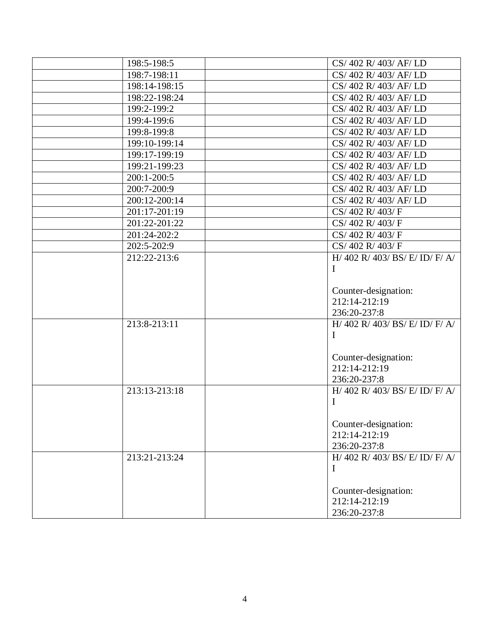| 198:5-198:5   | CS/402 R/403/AF/LD                |
|---------------|-----------------------------------|
| 198:7-198:11  | CS/ 402 R/ 403/ AF/ LD            |
| 198:14-198:15 | CS/ 402 R/ 403/ AF/ LD            |
| 198:22-198:24 | CS/ 402 R/ 403/ AF/ LD            |
| 199:2-199:2   | CS/ 402 R/ 403/ AF/ LD            |
| 199:4-199:6   | CS/ 402 R/ 403/ AF/ LD            |
| 199:8-199:8   | CS/ 402 R/ 403/ AF/ LD            |
| 199:10-199:14 | CS/ 402 R/ 403/ AF/ LD            |
| 199:17-199:19 | CS/ 402 R/ 403/ AF/ LD            |
| 199:21-199:23 | CS/402 R/403/AF/LD                |
| 200:1-200:5   | CS/402 R/403/AF/LD                |
| 200:7-200:9   | CS/402 R/403/AF/LD                |
| 200:12-200:14 | CS/ 402 R/ 403/ AF/ LD            |
| 201:17-201:19 | CS/402 R/403/F                    |
| 201:22-201:22 | CS/402 R/403/F                    |
| 201:24-202:2  | CS/402 R/403/F                    |
| 202:5-202:9   | CS/402 R/403/F                    |
| 212:22-213:6  | H/ 402 R/ 403/ BS/ E/ ID/ F/ A/   |
|               | I                                 |
|               |                                   |
|               | Counter-designation:              |
|               | 212:14-212:19                     |
|               | 236:20-237:8                      |
| 213:8-213:11  | H/ 402 R/ 403/ BS/ E/ ID/ F/ A/   |
|               | $\mathbf{I}$                      |
|               |                                   |
|               | Counter-designation:              |
|               | 212:14-212:19                     |
|               | 236:20-237:8                      |
| 213:13-213:18 | $H/$ 402 R/ 403/ BS/ E/ ID/ F/ A/ |
|               | I                                 |
|               |                                   |
|               | Counter-designation:              |
|               | 212:14-212:19                     |
|               | 236:20-237:8                      |
| 213:21-213:24 | H/ 402 R/ 403/ BS/ E/ ID/ F/ A/   |
|               | I                                 |
|               |                                   |
|               | Counter-designation:              |
|               | 212:14-212:19                     |
|               | 236:20-237:8                      |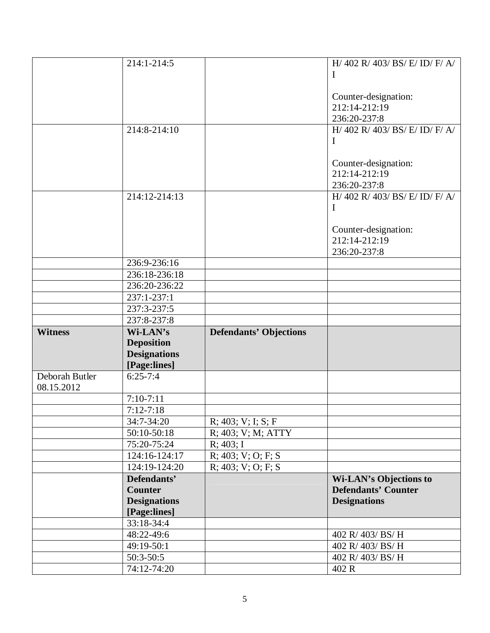|                | 214:1-214:5                |                               | H/ 402 R/ 403/ BS/ E/ ID/ F/ A/       |
|----------------|----------------------------|-------------------------------|---------------------------------------|
|                |                            |                               | I                                     |
|                |                            |                               |                                       |
|                |                            |                               |                                       |
|                |                            |                               | Counter-designation:<br>212:14-212:19 |
|                |                            |                               |                                       |
|                |                            |                               | 236:20-237:8                          |
|                | 214:8-214:10               |                               | H/ 402 R/ 403/ BS/ E/ ID/ F/ A/       |
|                |                            |                               | $\mathbf I$                           |
|                |                            |                               |                                       |
|                |                            |                               | Counter-designation:                  |
|                |                            |                               | 212:14-212:19                         |
|                |                            |                               | 236:20-237:8                          |
|                | 214:12-214:13              |                               | H/ 402 R/ 403/ BS/ E/ ID/ F/ A/       |
|                |                            |                               | $\mathbf I$                           |
|                |                            |                               |                                       |
|                |                            |                               | Counter-designation:                  |
|                |                            |                               | 212:14-212:19                         |
|                |                            |                               | 236:20-237:8                          |
|                | 236:9-236:16               |                               |                                       |
|                | 236:18-236:18              |                               |                                       |
|                | 236:20-236:22              |                               |                                       |
|                |                            |                               |                                       |
|                | 237:1-237:1                |                               |                                       |
|                | 237:3-237:5                |                               |                                       |
|                | 237:8-237:8                |                               |                                       |
|                |                            |                               |                                       |
| <b>Witness</b> | Wi-LAN's                   | <b>Defendants' Objections</b> |                                       |
|                | <b>Deposition</b>          |                               |                                       |
|                | <b>Designations</b>        |                               |                                       |
|                | [Page:lines]               |                               |                                       |
| Deborah Butler | $6:25 - 7:4$               |                               |                                       |
| 08.15.2012     |                            |                               |                                       |
|                | $7:10-7:11$                |                               |                                       |
|                | $7:12-7:18$                |                               |                                       |
|                |                            |                               |                                       |
|                | 34:7-34:20                 | $R$ ; 403; V; I; S; F         |                                       |
|                | 50:10-50:18                | R; 403; V; M; ATTY            |                                       |
|                | 75:20-75:24                | R; 403; I                     |                                       |
|                | 124:16-124:17              | $R$ ; 403; V; O; F; S         |                                       |
|                | 124:19-124:20              | $R$ ; 403; V; O; F; S         |                                       |
|                | Defendants'                |                               | <b>Wi-LAN's Objections to</b>         |
|                | <b>Counter</b>             |                               | <b>Defendants' Counter</b>            |
|                | <b>Designations</b>        |                               | <b>Designations</b>                   |
|                | [Page:lines]               |                               |                                       |
|                | 33:18-34:4                 |                               |                                       |
|                | 48:22-49:6                 |                               | 402 R/ 403/ BS/ H                     |
|                | 49:19-50:1                 |                               | 402 R/ 403/ BS/ H                     |
|                | $50:3-50:5$<br>74:12-74:20 |                               | 402 R/ 403/ BS/ H<br>402 R            |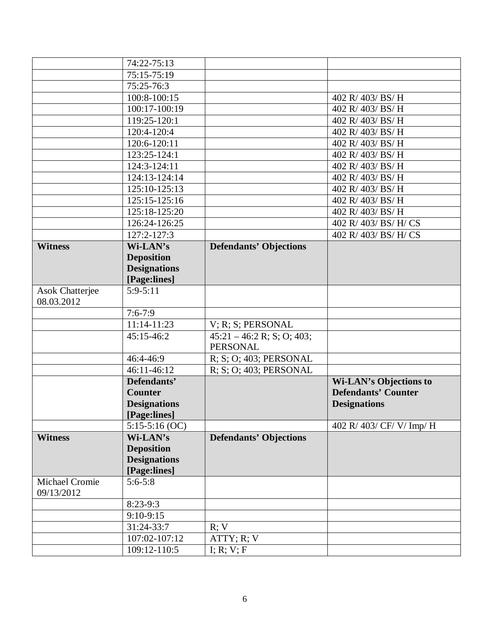|                        | 74:22-75:13                 |                               |                               |
|------------------------|-----------------------------|-------------------------------|-------------------------------|
|                        | 75:15-75:19                 |                               |                               |
|                        | 75:25-76:3                  |                               |                               |
|                        | 100:8-100:15                |                               | 402 R/ 403/ BS/ H             |
|                        | 100:17-100:19               |                               | 402 R/ 403/ BS/ H             |
|                        | 119:25-120:1                |                               | 402 R/ 403/ BS/ H             |
|                        | 120:4-120:4                 |                               | 402 R/ 403/ BS/ H             |
|                        | 120:6-120:11                |                               | 402 R/ 403/ BS/ H             |
|                        | 123:25-124:1                |                               | 402 R/ 403/ BS/ H             |
|                        | 124:3-124:11                |                               | 402 R/ 403/ BS/ H             |
|                        | 124:13-124:14               |                               | 402 R/ 403/ BS/ H             |
|                        | 125:10-125:13               |                               | 402 R/ 403/ BS/ H             |
|                        | 125:15-125:16               |                               | 402 R/ 403/ BS/ H             |
|                        | 125:18-125:20               |                               | 402 R/ 403/ BS/ H             |
|                        | 126:24-126:25               |                               | 402 R/ 403/ BS/ H/ CS         |
|                        | 127:2-127:3                 |                               | 402 R/ 403/ BS/ H/ CS         |
| <b>Witness</b>         | Wi-LAN's                    | <b>Defendants' Objections</b> |                               |
|                        | <b>Deposition</b>           |                               |                               |
|                        | <b>Designations</b>         |                               |                               |
|                        | [Page:lines]                |                               |                               |
| <b>Asok Chatterjee</b> | $5:9-5:11$                  |                               |                               |
| 08.03.2012             |                             |                               |                               |
|                        | $7:6 - 7:9$                 |                               |                               |
|                        | $11:14-11:23$               | V; R; S; PERSONAL             |                               |
|                        | 45:15-46:2                  | $45:21 - 46:2 R$ ; S; O; 403; |                               |
|                        |                             | <b>PERSONAL</b>               |                               |
|                        | 46:4-46:9                   | R; S; O; 403; PERSONAL        |                               |
|                        | $\overline{46:}11-46:12$    | R; S; O; 403; PERSONAL        |                               |
|                        | Defendants'                 |                               | <b>Wi-LAN's Objections to</b> |
|                        | <b>Counter</b>              |                               | <b>Defendants' Counter</b>    |
|                        | <b>Designations</b>         |                               | <b>Designations</b>           |
|                        | [Page:lines]                |                               |                               |
|                        | $5:15-5:16$ (OC)            |                               | 402 R/ 403/ CF/ V/ Imp/ H     |
| <b>Witness</b>         | Wi-LAN's                    | <b>Defendants' Objections</b> |                               |
|                        | <b>Deposition</b>           |                               |                               |
|                        | <b>Designations</b>         |                               |                               |
| Michael Cromie         | [Page:lines]<br>$5:6 - 5:8$ |                               |                               |
| 09/13/2012             |                             |                               |                               |
|                        | $8:23-9:3$                  |                               |                               |
|                        | $9:10-9:15$                 |                               |                               |
|                        | 31:24-33:7                  | R; V                          |                               |
|                        | 107:02-107:12               | ATTY; R; V                    |                               |
|                        |                             |                               |                               |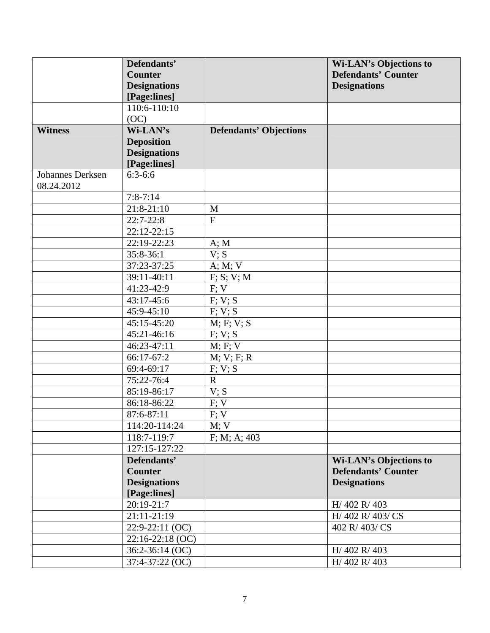|                                       | Defendants'         |                               | <b>Wi-LAN's Objections to</b> |
|---------------------------------------|---------------------|-------------------------------|-------------------------------|
|                                       | <b>Counter</b>      |                               | <b>Defendants' Counter</b>    |
|                                       | <b>Designations</b> |                               | <b>Designations</b>           |
|                                       | [Page:lines]        |                               |                               |
|                                       | 110:6-110:10        |                               |                               |
|                                       | (OC)                |                               |                               |
| <b>Witness</b>                        | Wi-LAN's            | <b>Defendants' Objections</b> |                               |
|                                       | <b>Deposition</b>   |                               |                               |
|                                       | <b>Designations</b> |                               |                               |
|                                       | [Page:lines]        |                               |                               |
| <b>Johannes Derksen</b><br>08.24.2012 | $6:3-6:6$           |                               |                               |
|                                       | $7:8 - 7:14$        |                               |                               |
|                                       | 21:8-21:10          | M                             |                               |
|                                       | $22:7-22:8$         | $\overline{F}$                |                               |
|                                       | $22:12-22:15$       |                               |                               |
|                                       | 22:19-22:23         | A; M                          |                               |
|                                       | 35:8-36:1           | V; S                          |                               |
|                                       | 37:23-37:25         | A; M; V                       |                               |
|                                       | 39:11-40:11         | F; S; V; M                    |                               |
|                                       | 41:23-42:9          | F; V                          |                               |
|                                       | 43:17-45:6          | F; V; S                       |                               |
|                                       | 45:9-45:10          | F; V; S                       |                               |
|                                       | 45:15-45:20         | M; F; V; S                    |                               |
|                                       | 45:21-46:16         | F; V; S                       |                               |
|                                       | 46:23-47:11         | M; F; V                       |                               |
|                                       | 66:17-67:2          | M; V; F; R                    |                               |
|                                       | 69:4-69:17          | F; V; S                       |                               |
|                                       | 75:22-76:4          | $\mathbf R$                   |                               |
|                                       | 85:19-86:17         | V; S                          |                               |
|                                       | 86:18-86:22         | F; V                          |                               |
|                                       | 87:6-87:11          | $F; V$                        |                               |
|                                       | 114:20-114:24       | M; V                          |                               |
|                                       | 118:7-119:7         | F; M; A; 403                  |                               |
|                                       | 127:15-127:22       |                               |                               |
|                                       | Defendants'         |                               | <b>Wi-LAN's Objections to</b> |
|                                       | <b>Counter</b>      |                               | <b>Defendants' Counter</b>    |
|                                       | <b>Designations</b> |                               | <b>Designations</b>           |
|                                       | [Page:lines]        |                               |                               |
|                                       | 20:19-21:7          |                               | H/ 402 R/ 403                 |
|                                       | 21:11-21:19         |                               | H/ 402 R/ 403/ CS             |
|                                       | 22:9-22:11 (OC)     |                               | 402 R/403/CS                  |
|                                       | 22:16-22:18 (OC)    |                               |                               |
|                                       | 36:2-36:14 (OC)     |                               | H/402 R/403                   |
|                                       | 37:4-37:22 (OC)     |                               | H/ 402 R/ 403                 |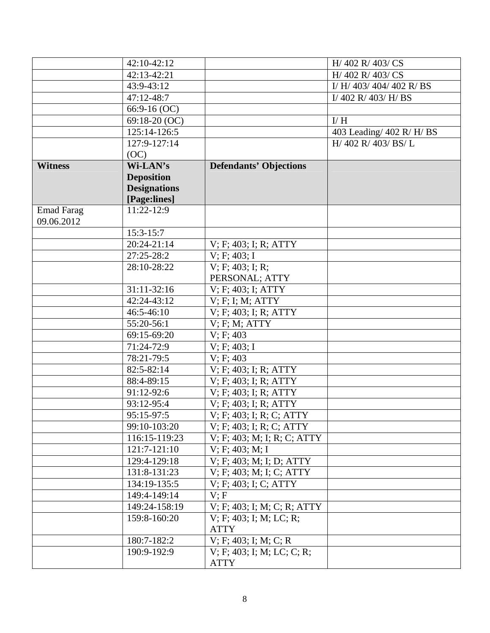|                   | 42:10-42:12         |                               | H/ 402 R/ 403/ CS         |
|-------------------|---------------------|-------------------------------|---------------------------|
|                   | 42:13-42:21         |                               | H/ 402 R/ 403/ CS         |
|                   | 43:9-43:12          |                               | I/ H/ 403/ 404/ 402 R/ BS |
|                   | 47:12-48:7          |                               | I/402 R/403/H/BS          |
|                   | $66:9-16(OC)$       |                               |                           |
|                   | 69:18-20 (OC)       |                               | I/H                       |
|                   | 125:14-126:5        |                               | 403 Leading/ 402 R/ H/ BS |
|                   | $127:9 - 127:14$    |                               | H/ 402 R/ 403/ BS/ L      |
|                   | (OC)                |                               |                           |
| <b>Witness</b>    | Wi-LAN's            | <b>Defendants' Objections</b> |                           |
|                   | <b>Deposition</b>   |                               |                           |
|                   | <b>Designations</b> |                               |                           |
|                   | [Page:lines]        |                               |                           |
| <b>Emad Farag</b> | $11:22-12:9$        |                               |                           |
| 09.06.2012        |                     |                               |                           |
|                   | $15:3-15:7$         |                               |                           |
|                   | $20:24-21:14$       | V; F; 403; I; R; ATTY         |                           |
|                   | 27:25-28:2          | V; F; 403; I                  |                           |
|                   | 28:10-28:22         | V; F; 403; I; R;              |                           |
|                   |                     | PERSONAL; ATTY                |                           |
|                   | 31:11-32:16         | V; F; 403; I; ATTY            |                           |
|                   | 42:24-43:12         | V; F; I; M; ATTY              |                           |
|                   | $46:5 - 46:10$      | V; F; 403; I; R; ATTY         |                           |
|                   | 55:20-56:1          | $V$ ; F; M; ATTY              |                           |
|                   | 69:15-69:20         | V: F: 403                     |                           |
|                   | 71:24-72:9          | V; F; 403; I                  |                           |
|                   | 78:21-79:5          | V: F: 403                     |                           |
|                   | 82:5-82:14          | V; F; 403; I; R; ATTY         |                           |
|                   | 88:4-89:15          | V; F; 403; I; R; ATTY         |                           |
|                   | 91:12-92:6          | V; F; 403; I; R; ATTY         |                           |
|                   | 93:12-95:4          | V; F; 403; I; R; ATTY         |                           |
|                   | 95:15-97:5          | V; F; 403; I; R; C; ATTY      |                           |
|                   | 99:10-103:20        | V; F; 403; I; R; C; ATTY      |                           |
|                   | 116:15-119:23       | V; F; 403; M; I; R; C; ATTY   |                           |
|                   | 121:7-121:10        | V; F; 403; M; I               |                           |
|                   | 129:4-129:18        | V; F; 403; M; I; D; ATTY      |                           |
|                   | 131:8-131:23        | V; F; 403; M; I; C; ATTY      |                           |
|                   | 134:19-135:5        | V; F; 403; I; C; ATTY         |                           |
|                   | 149:4-149:14        | V; F                          |                           |
|                   | 149:24-158:19       | V; F; 403; I; M; C; R; ATTY   |                           |
|                   | 159:8-160:20        | V; F; 403; I; M; LC; R;       |                           |
|                   |                     | <b>ATTY</b>                   |                           |
|                   | 180:7-182:2         | V: F: 403; I: M: C: R         |                           |
|                   | 190:9-192:9         | V; F; 403; I; M; LC; C; R;    |                           |
|                   |                     | <b>ATTY</b>                   |                           |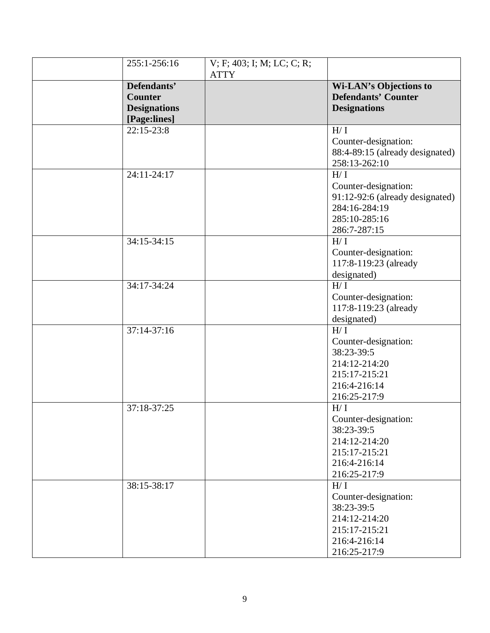| 255:1-256:16        | V; F; 403; I; M; LC; C; R;<br><b>ATTY</b> |                                 |
|---------------------|-------------------------------------------|---------------------------------|
| Defendants'         |                                           | <b>Wi-LAN's Objections to</b>   |
| <b>Counter</b>      |                                           | <b>Defendants' Counter</b>      |
| <b>Designations</b> |                                           | <b>Designations</b>             |
| [Page:lines]        |                                           |                                 |
| $22:15-23:8$        |                                           | H/I                             |
|                     |                                           | Counter-designation:            |
|                     |                                           | 88:4-89:15 (already designated) |
|                     |                                           | 258:13-262:10                   |
| 24:11-24:17         |                                           | H/I                             |
|                     |                                           | Counter-designation:            |
|                     |                                           | 91:12-92:6 (already designated) |
|                     |                                           | 284:16-284:19                   |
|                     |                                           | 285:10-285:16                   |
|                     |                                           | 286:7-287:15                    |
| 34:15-34:15         |                                           | H/I                             |
|                     |                                           | Counter-designation:            |
|                     |                                           | 117:8-119:23 (already           |
|                     |                                           | designated)                     |
| 34:17-34:24         |                                           | H/I                             |
|                     |                                           | Counter-designation:            |
|                     |                                           | 117:8-119:23 (already           |
|                     |                                           | designated)                     |
| 37:14-37:16         |                                           | H/I                             |
|                     |                                           | Counter-designation:            |
|                     |                                           | 38:23-39:5                      |
|                     |                                           | 214:12-214:20                   |
|                     |                                           | 215:17-215:21                   |
|                     |                                           | 216:4-216:14                    |
|                     |                                           | 216:25-217:9                    |
| 37:18-37:25         |                                           | H/I                             |
|                     |                                           | Counter-designation:            |
|                     |                                           | 38:23-39:5                      |
|                     |                                           | 214:12-214:20                   |
|                     |                                           | 215:17-215:21                   |
|                     |                                           | 216:4-216:14                    |
|                     |                                           | 216:25-217:9                    |
| 38:15-38:17         |                                           | H/I                             |
|                     |                                           | Counter-designation:            |
|                     |                                           | 38:23-39:5                      |
|                     |                                           | 214:12-214:20                   |
|                     |                                           | 215:17-215:21<br>216:4-216:14   |
|                     |                                           |                                 |
|                     |                                           | 216:25-217:9                    |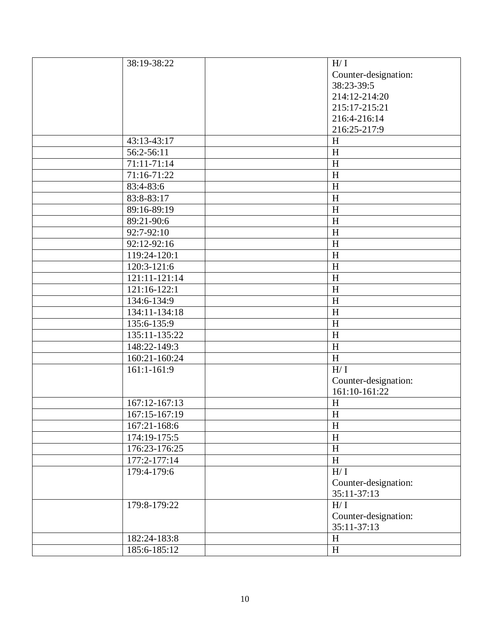| 38:19-38:22   | H/I                       |
|---------------|---------------------------|
|               | Counter-designation:      |
|               | 38:23-39:5                |
|               | 214:12-214:20             |
|               | 215:17-215:21             |
|               | 216:4-216:14              |
|               | 216:25-217:9              |
| 43:13-43:17   | H                         |
| 56:2-56:11    | $\boldsymbol{\mathrm{H}}$ |
| 71:11-71:14   | H                         |
| 71:16-71:22   | H                         |
| 83:4-83:6     | H                         |
| 83:8-83:17    | $\boldsymbol{\mathrm{H}}$ |
| 89:16-89:19   | H                         |
| 89:21-90:6    | H                         |
| 92:7-92:10    | H                         |
| 92:12-92:16   | H                         |
| 119:24-120:1  | H                         |
| 120:3-121:6   | H                         |
| 121:11-121:14 | H                         |
| 121:16-122:1  | H                         |
| 134:6-134:9   | H                         |
| 134:11-134:18 | H                         |
| 135:6-135:9   | H                         |
| 135:11-135:22 | H                         |
| 148:22-149:3  | $\boldsymbol{\mathrm{H}}$ |
| 160:21-160:24 | $\boldsymbol{\mathrm{H}}$ |
| $161:1-161:9$ | H/I                       |
|               | Counter-designation:      |
|               | 161:10-161:22             |
| 167:12-167:13 | H                         |
| 167:15-167:19 | $\mathbf H$               |
| 167:21-168:6  | H                         |
| 174:19-175:5  | H                         |
| 176:23-176:25 | $\boldsymbol{\mathrm{H}}$ |
| 177:2-177:14  | $\, {\rm H}$              |
| 179:4-179:6   | $H/ \ I$                  |
|               | Counter-designation:      |
|               | 35:11-37:13               |
| 179:8-179:22  | $\mathrm{H}/\,\mathrm{I}$ |
|               | Counter-designation:      |
|               | 35:11-37:13               |
| 182:24-183:8  | $\, {\rm H}$              |
| 185:6-185:12  | $\, {\rm H}$              |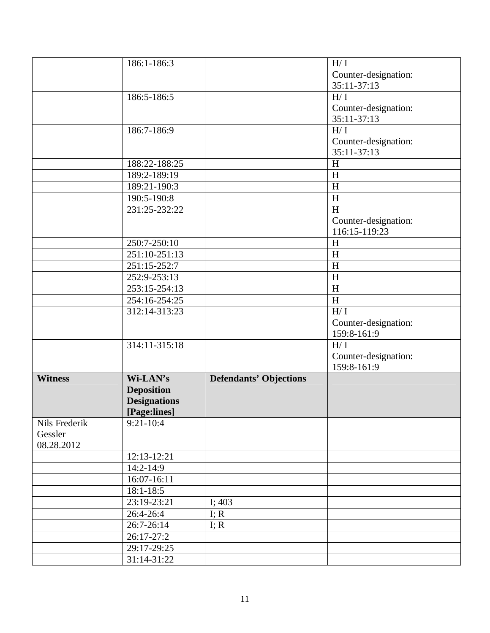|                | 186:1-186:3         |                               | $H/I$                     |
|----------------|---------------------|-------------------------------|---------------------------|
|                |                     |                               | Counter-designation:      |
|                |                     |                               | 35:11-37:13               |
|                | 186:5-186:5         |                               | H/I                       |
|                |                     |                               | Counter-designation:      |
|                |                     |                               | 35:11-37:13               |
|                | 186:7-186:9         |                               | H/I                       |
|                |                     |                               | Counter-designation:      |
|                |                     |                               | 35:11-37:13               |
|                | 188:22-188:25       |                               | H                         |
|                | 189:2-189:19        |                               | $\boldsymbol{\mathrm{H}}$ |
|                | 189:21-190:3        |                               | $\boldsymbol{\mathrm{H}}$ |
|                | 190:5-190:8         |                               | $\boldsymbol{\mathrm{H}}$ |
|                | 231:25-232:22       |                               | H                         |
|                |                     |                               | Counter-designation:      |
|                |                     |                               | 116:15-119:23             |
|                | 250:7-250:10        |                               | H                         |
|                | 251:10-251:13       |                               | H                         |
|                | 251:15-252:7        |                               | $\boldsymbol{\mathrm{H}}$ |
|                | 252:9-253:13        |                               | H                         |
|                | 253:15-254:13       |                               | $\overline{\rm H}$        |
|                | 254:16-254:25       |                               | $\, {\rm H}$              |
|                | 312:14-313:23       |                               | H/I                       |
|                |                     |                               | Counter-designation:      |
|                |                     |                               | 159:8-161:9               |
|                | 314:11-315:18       |                               | H/I                       |
|                |                     |                               | Counter-designation:      |
|                |                     |                               | 159:8-161:9               |
| <b>Witness</b> | Wi-LAN's            | <b>Defendants' Objections</b> |                           |
|                | <b>Deposition</b>   |                               |                           |
|                | <b>Designations</b> |                               |                           |
|                | [Page:lines]        |                               |                           |
| Nils Frederik  | $9:21-10:4$         |                               |                           |
| Gessler        |                     |                               |                           |
| 08.28.2012     |                     |                               |                           |
|                | 12:13-12:21         |                               |                           |
|                | 14:2-14:9           |                               |                           |
|                | 16:07-16:11         |                               |                           |
|                | $18:1 - 18:5$       |                               |                           |
|                | 23:19-23:21         | I; 403                        |                           |
|                | 26:4-26:4           | I; R                          |                           |
|                | 26:7-26:14          | I; R                          |                           |
|                | 26:17-27:2          |                               |                           |
|                | 29:17-29:25         |                               |                           |
|                | 31:14-31:22         |                               |                           |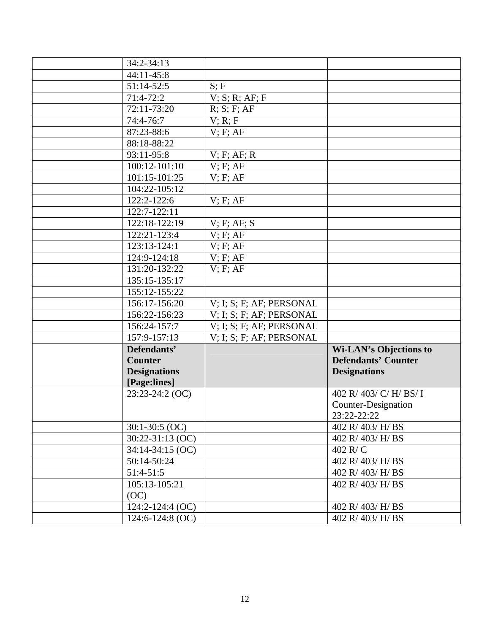| $\overline{3}4:2-34:13$ |                          |                               |
|-------------------------|--------------------------|-------------------------------|
| 44:11-45:8              |                          |                               |
| 51:14-52:5              | S; F                     |                               |
| $71:4-72:2$             | $V$ ; S; R; AF; F        |                               |
| 72:11-73:20             | R; S; F; AF              |                               |
| 74:4-76:7               | V; R; F                  |                               |
| 87:23-88:6              | $V$ ; F; AF              |                               |
| 88:18-88:22             |                          |                               |
| 93:11-95:8              | $V$ ; F; AF; R           |                               |
| 100:12-101:10           | V; F; AF                 |                               |
| 101:15-101:25           | $V$ ; F; AF              |                               |
| 104:22-105:12           |                          |                               |
| 122:2-122:6             | $V$ ; F; AF              |                               |
| 122:7-122:11            |                          |                               |
| 122:18-122:19           | V; F; AF; S              |                               |
| 122:21-123:4            | $V$ ; F; AF              |                               |
| 123:13-124:1            | $V$ ; F; AF              |                               |
| 124:9-124:18            | $V$ ; F; AF              |                               |
| 131:20-132:22           | $V$ ; F; AF              |                               |
| 135:15-135:17           |                          |                               |
| 155:12-155:22           |                          |                               |
| 156:17-156:20           | V; I; S; F; AF; PERSONAL |                               |
| 156:22-156:23           | V; I; S; F; AF; PERSONAL |                               |
| 156:24-157:7            | V; I; S; F; AF; PERSONAL |                               |
| 157:9-157:13            | V; I; S; F; AF; PERSONAL |                               |
| Defendants'             |                          | <b>Wi-LAN's Objections to</b> |
| <b>Counter</b>          |                          | <b>Defendants' Counter</b>    |
| <b>Designations</b>     |                          | <b>Designations</b>           |
| [Page:lines]            |                          |                               |
| 23:23-24:2 (OC)         |                          | 402 R/ 403/ C/ H/ BS/ I       |
|                         |                          | <b>Counter-Designation</b>    |
|                         |                          | 23:22-22:22                   |
| $30:1-30:5$ (OC)        |                          | 402 R/ 403/ H/ BS             |
| $30:22 - 31:13$ (OC)    |                          | 402 R/ 403/ H/ BS             |
| $34:14-34:15$ (OC)      |                          | $402$ R/C                     |
| 50:14-50:24             |                          | 402 R/ 403/ H/ BS             |
| $51:4-51:5$             |                          | 402 R/403/H/BS                |
| 105:13-105:21           |                          | 402 R/ 403/ H/ BS             |
| (OC)                    |                          |                               |
| $124:2 - 124:4$ (OC)    |                          | 402 R/403/H/BS                |
| $124:6 - 124:8$ (OC)    |                          | 402 R/ 403/ H/ BS             |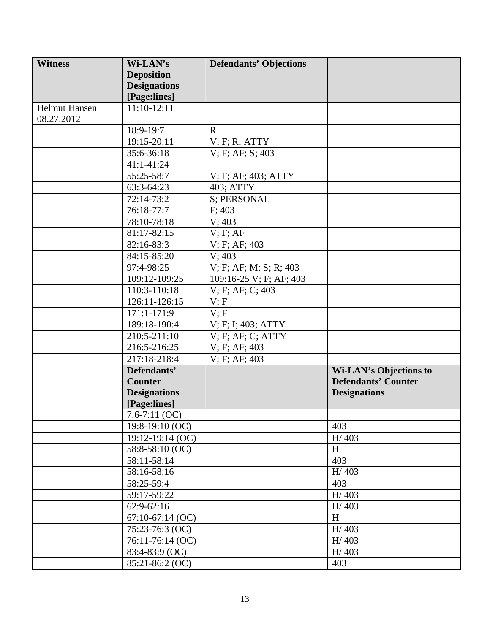| <b>Witness</b>       | Wi-LAN's            | <b>Defendants' Objections</b> |                               |
|----------------------|---------------------|-------------------------------|-------------------------------|
|                      | <b>Deposition</b>   |                               |                               |
|                      | <b>Designations</b> |                               |                               |
|                      | [Page:lines]        |                               |                               |
| <b>Helmut Hansen</b> | $11:10-12:11$       |                               |                               |
| 08.27.2012           |                     |                               |                               |
|                      | 18:9-19:7           | $\mathbf R$                   |                               |
|                      | 19:15-20:11         | $V$ ; F; R; ATTY              |                               |
|                      | 35:6-36:18          | V; F; AF; S; 403              |                               |
|                      | 41:1-41:24          |                               |                               |
|                      | 55:25-58:7          | V; F; AF; 403; ATTY           |                               |
|                      | 63:3-64:23          | 403; ATTY                     |                               |
|                      | 72:14-73:2          | S; PERSONAL                   |                               |
|                      | 76:18-77:7          | F: 403                        |                               |
|                      | 78:10-78:18         | V; 403                        |                               |
|                      | 81:17-82:15         | $V$ ; F; AF                   |                               |
|                      | 82:16-83:3          | V; F; AF; 403                 |                               |
|                      | 84:15-85:20         | V; 403                        |                               |
|                      | 97:4-98:25          | V; F; AF; M; S; R; 403        |                               |
|                      | 109:12-109:25       | 109:16-25 V; F; AF; 403       |                               |
|                      | 110:3-110:18        | V; F; AF; C; 403              |                               |
|                      | 126:11-126:15       | V; F                          |                               |
|                      | 171:1-171:9         | V; F                          |                               |
|                      | 189:18-190:4        | V; F; I; 403; ATTY            |                               |
|                      | 210:5-211:10        | V; F; AF; C; ATTY             |                               |
|                      | 216:5-216:25        | V; F; AF; 403                 |                               |
|                      | 217:18-218:4        | V; F; AF; 403                 |                               |
|                      | Defendants'         |                               | <b>Wi-LAN's Objections to</b> |
|                      | <b>Counter</b>      |                               | <b>Defendants' Counter</b>    |
|                      | <b>Designations</b> |                               | <b>Designations</b>           |
|                      | [Page:lines]        |                               |                               |
|                      | 7:6-7:11 $(OC)$     |                               |                               |
|                      | $19:8-19:10(OC)$    |                               | 403                           |
|                      | $19:12-19:14$ (OC)  |                               | H/403                         |
|                      | 58:8-58:10 (OC)     |                               | H                             |
|                      | 58:11-58:14         |                               | 403                           |
|                      | 58:16-58:16         |                               | H/403                         |
|                      | 58:25-59:4          |                               | 403                           |
|                      | 59:17-59:22         |                               | H/403                         |
|                      | $62:9-62:16$        |                               | H/403                         |
|                      | $67:10-67:14$ (OC)  |                               | H                             |
|                      | 75:23-76:3 (OC)     |                               | H/403                         |
|                      | 76:11-76:14 (OC)    |                               | H/403                         |
|                      | 83:4-83:9 (OC)      |                               | H/403                         |
|                      | 85:21-86:2 (OC)     |                               | 403                           |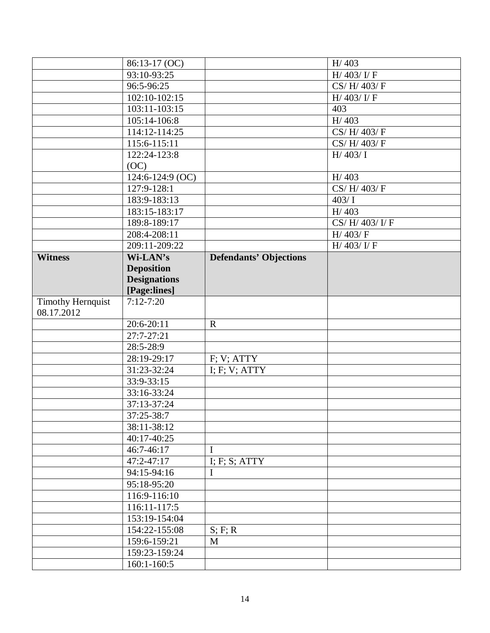|                          | 86:13-17 (OC)       |                               | H/403                                  |
|--------------------------|---------------------|-------------------------------|----------------------------------------|
|                          | 93:10-93:25         |                               | H/ $403$ / I/ F                        |
|                          | 96:5-96:25          |                               | $\overline{\text{CS}/\text{H}}$ 403/ F |
|                          | 102:10-102:15       |                               | H/ $403$ / $I$ / $F$                   |
|                          | $103:11-103:15$     |                               | 403                                    |
|                          | 105:14-106:8        |                               | H/403                                  |
|                          | 114:12-114:25       |                               | CS/H/403/F                             |
|                          | 115:6-115:11        |                               | CS/H/403/F                             |
|                          | 122:24-123:8        |                               | H/403/ I                               |
|                          | (OC)                |                               |                                        |
|                          | 124:6-124:9 (OC)    |                               | H/403                                  |
|                          | 127:9-128:1         |                               | CS/H/403/F                             |
|                          | 183:9-183:13        |                               | 403/1                                  |
|                          | 183:15-183:17       |                               | H/403                                  |
|                          | 189:8-189:17        |                               | CS/H/403/I/F                           |
|                          | 208:4-208:11        |                               | H/403/F                                |
|                          | 209:11-209:22       |                               | H/ $403$ / $V$ F                       |
| <b>Witness</b>           | Wi-LAN's            | <b>Defendants' Objections</b> |                                        |
|                          | <b>Deposition</b>   |                               |                                        |
|                          | <b>Designations</b> |                               |                                        |
|                          | [Page:lines]        |                               |                                        |
| <b>Timothy Hernquist</b> | $7:12 - 7:20$       |                               |                                        |
| 08.17.2012               |                     |                               |                                        |
|                          | 20:6-20:11          | $\mathbf R$                   |                                        |
|                          | 27:7-27:21          |                               |                                        |
|                          | 28:5-28:9           |                               |                                        |
|                          | 28:19-29:17         | F; V; ATTY                    |                                        |
|                          | 31:23-32:24         | I; F; V; ATTY                 |                                        |
|                          | 33:9-33:15          |                               |                                        |
|                          | 33:16-33:24         |                               |                                        |
|                          | 37:13-37:24         |                               |                                        |
|                          | 37:25-38:7          |                               |                                        |
|                          | 38:11-38:12         |                               |                                        |
|                          | 40:17-40:25         |                               |                                        |
|                          | 46:7-46:17          | $\mathbf I$                   |                                        |
|                          | $47:2 - 47:17$      | I; F; S; ATTY                 |                                        |
|                          | 94:15-94:16         | I                             |                                        |
|                          | 95:18-95:20         |                               |                                        |
|                          | 116:9-116:10        |                               |                                        |
|                          | 116:11-117:5        |                               |                                        |
|                          | 153:19-154:04       |                               |                                        |
|                          | 154:22-155:08       | S; F; R                       |                                        |
|                          | 159:6-159:21        | M                             |                                        |
|                          | 159:23-159:24       |                               |                                        |
|                          | $160:1-160:5$       |                               |                                        |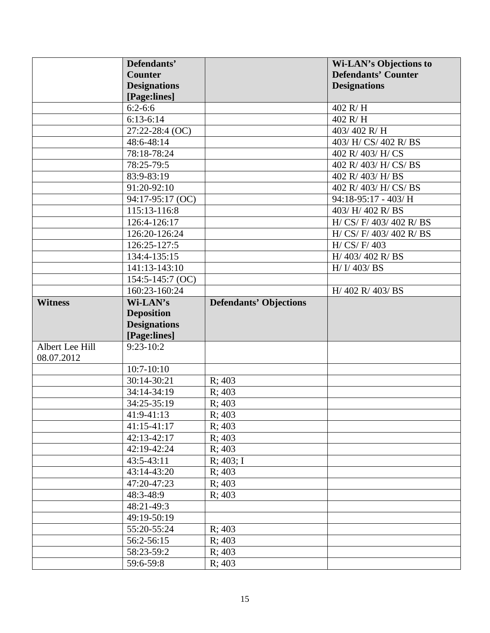|                 | Defendants'             |                               | <b>Wi-LAN's Objections to</b> |
|-----------------|-------------------------|-------------------------------|-------------------------------|
|                 | <b>Counter</b>          |                               | <b>Defendants' Counter</b>    |
|                 | <b>Designations</b>     |                               | <b>Designations</b>           |
|                 | [Page:lines]            |                               |                               |
|                 | $6:2-6:6$               |                               | 402 R/H                       |
|                 | $6:13-6:14$             |                               | 402 R/H                       |
|                 | 27:22-28:4 (OC)         |                               | 403/402 R/H                   |
|                 | 48:6-48:14              |                               | 403/ H/ CS/ 402 R/ BS         |
|                 | 78:18-78:24             |                               | 402 R/ 403/ H/ CS             |
|                 | 78:25-79:5              |                               | 402 R/ 403/ H/ CS/ BS         |
|                 | 83:9-83:19              |                               | 402 R/ 403/ H/ BS             |
|                 | 91:20-92:10             |                               | 402 R/ 403/ H/ CS/ BS         |
|                 | 94:17-95:17 (OC)        |                               | 94:18-95:17 - 403/ H          |
|                 | 115:13-116:8            |                               | 403/ H/ 402 R/ BS             |
|                 | 126:4-126:17            |                               | H/ CS/ F/ 403/ 402 R/ BS      |
|                 | 126:20-126:24           |                               | H/ CS/ F/ 403/ 402 R/ BS      |
|                 | 126:25-127:5            |                               | H/ CS/ F/ 403                 |
|                 | 134:4-135:15            |                               | H/ 403/ 402 R/ BS             |
|                 | 141:13-143:10           |                               | $H/J$ 403/BS                  |
|                 | 154:5-145:7 (OC)        |                               |                               |
|                 | 160:23-160:24           |                               | H/ 402 R/ 403/ BS             |
| <b>Witness</b>  | Wi-LAN's                | <b>Defendants' Objections</b> |                               |
|                 | <b>Deposition</b>       |                               |                               |
|                 | <b>Designations</b>     |                               |                               |
|                 | [Page:lines]            |                               |                               |
| Albert Lee Hill | $9:23-10:2$             |                               |                               |
| 08.07.2012      |                         |                               |                               |
|                 | $10:7 - 10:10$          |                               |                               |
|                 | 30:14-30:21             | R; 403                        |                               |
|                 | 34:14-34:19             | R; 403                        |                               |
|                 | 34:25-35:19             | R; 403                        |                               |
|                 | 41:9-41:13              | R; 403                        |                               |
|                 | 41:15-41:17             | R; 403                        |                               |
|                 | 42:13-42:17             | R; 403                        |                               |
|                 | 42:19-42:24             | R; 403                        |                               |
|                 | $43:5 - 43:11$          |                               |                               |
|                 |                         | R; 403; I                     |                               |
|                 | 43:14-43:20             | R; 403                        |                               |
|                 | 47:20-47:23             | R; 403                        |                               |
|                 | 48:3-48:9               | R: 403                        |                               |
|                 | 48:21-49:3              |                               |                               |
|                 | 49:19-50:19             |                               |                               |
|                 | 55:20-55:24             | R; 403                        |                               |
|                 | 56:2-56:15              | R; 403                        |                               |
|                 | 58:23-59:2<br>59:6-59:8 | R; 403<br>R; 403              |                               |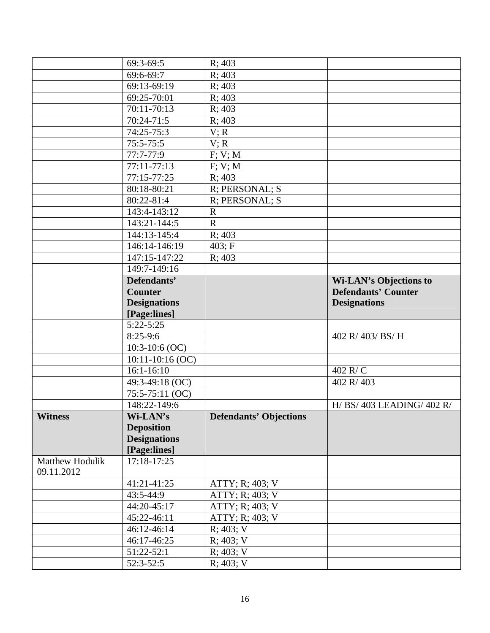|                 | 69:3-69:5                   | R; 403                        |                               |
|-----------------|-----------------------------|-------------------------------|-------------------------------|
|                 | 69:6-69:7                   | R; 403                        |                               |
|                 | 69:13-69:19                 | R; 403                        |                               |
|                 | 69:25-70:01                 | R; 403                        |                               |
|                 | 70:11-70:13                 | R; 403                        |                               |
|                 | 70:24-71:5                  | R; 403                        |                               |
|                 | 74:25-75:3                  | V; R                          |                               |
|                 | $75:5 - 75:5$               | V; R                          |                               |
|                 | $\overline{77}$ :7-77:9     | F; V; M                       |                               |
|                 | 77:11-77:13                 | F; V; M                       |                               |
|                 | 77:15-77:25                 | R; 403                        |                               |
|                 | 80:18-80:21                 | R; PERSONAL; S                |                               |
|                 | 80:22-81:4                  | R; PERSONAL; S                |                               |
|                 | 143:4-143:12                | $\mathbf R$                   |                               |
|                 | 143:21-144:5                | $\mathbf R$                   |                               |
|                 | 144:13-145:4                | R; 403                        |                               |
|                 | 146:14-146:19               | 403; F                        |                               |
|                 | 147:15-147:22               | R; 403                        |                               |
|                 | 149:7-149:16                |                               |                               |
|                 | Defendants'                 |                               | <b>Wi-LAN's Objections to</b> |
|                 | <b>Counter</b>              |                               | <b>Defendants' Counter</b>    |
|                 | <b>Designations</b>         |                               | <b>Designations</b>           |
|                 | [Page:lines]                |                               |                               |
|                 | $5:22 - 5:25$               |                               |                               |
|                 | $8:25-9:6$                  |                               | 402 R/ 403/ BS/ H             |
|                 | $10:3-10:6$ (OC)            |                               |                               |
|                 | 10:11-10:16 (OC)            |                               |                               |
|                 | $16:1 - 16:10$              |                               | 402 R/C                       |
|                 | 49:3-49:18 (OC)             |                               | 402 R/403                     |
|                 | 75:5-75:11 (OC)             |                               |                               |
|                 | 148:22-149:6                |                               | H/ BS/ 403 LEADING/ 402 R/    |
| <b>Witness</b>  | Wi-LAN's                    | <b>Defendants' Objections</b> |                               |
|                 | <b>Deposition</b>           |                               |                               |
|                 |                             |                               |                               |
|                 | <b>Designations</b>         |                               |                               |
|                 | [Page:lines]                |                               |                               |
| Matthew Hodulik | 17:18-17:25                 |                               |                               |
| 09.11.2012      |                             |                               |                               |
|                 | 41:21-41:25                 | ATTY; R; 403; V               |                               |
|                 | 43:5-44:9                   | ATTY; R; 403; V               |                               |
|                 | 44:20-45:17                 | ATTY; R; 403; V               |                               |
|                 | 45:22-46:11                 | ATTY; R; 403; V               |                               |
|                 | 46:12-46:14                 | R; 403; V                     |                               |
|                 | 46:17-46:25                 | R; 403; V                     |                               |
|                 | $51:22-52:1$<br>$52:3-52:5$ | R; 403; V<br>R; 403; V        |                               |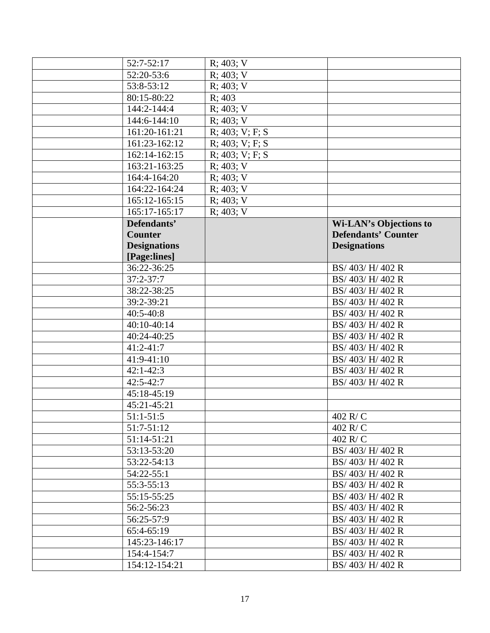| 52:7-52:17          | R; 403; V              |                               |
|---------------------|------------------------|-------------------------------|
| 52:20-53:6          | R; 403; V              |                               |
| 53:8-53:12          | R; 403; V              |                               |
| 80:15-80:22         | R; 403                 |                               |
| 144:2-144:4         | $R; 403; \overline{V}$ |                               |
| 144:6-144:10        | R; 403; V              |                               |
| 161:20-161:21       | R; 403; V; F; S        |                               |
| 161:23-162:12       | R; 403; V; F; S        |                               |
| 162:14-162:15       | R; 403; V; F; S        |                               |
| 163:21-163:25       | R; 403; V              |                               |
| 164:4-164:20        | R; 403; V              |                               |
| 164:22-164:24       | R; 403; V              |                               |
| 165:12-165:15       | R; 403; V              |                               |
| 165:17-165:17       | R; 403; V              |                               |
| Defendants'         |                        | <b>Wi-LAN's Objections to</b> |
| <b>Counter</b>      |                        | <b>Defendants' Counter</b>    |
| <b>Designations</b> |                        | <b>Designations</b>           |
| [Page:lines]        |                        |                               |
| 36:22-36:25         |                        | BS/ 403/ H/ 402 R             |
| $37:2 - 37:7$       |                        | BS/ 403/ H/ 402 R             |
| 38:22-38:25         |                        | BS/ 403/ H/ 402 R             |
| 39:2-39:21          |                        | BS/ 403/ H/ 402 R             |
| $40:5 - 40:8$       |                        | BS/ 403/ H/ 402 R             |
| 40:10-40:14         |                        | BS/ 403/ H/ 402 R             |
| 40:24-40:25         |                        | BS/ 403/ H/ 402 R             |
| $41:2 - 41:7$       |                        | BS/ 403/ H/ 402 R             |
| 41:9-41:10          |                        | BS/ 403/ H/ 402 R             |
| $42:1 - 42:3$       |                        | BS/ 403/ H/ 402 R             |
| $42:5 - 42:7$       |                        | BS/ 403/ H/ 402 R             |
| 45:18-45:19         |                        |                               |
| 45:21-45:21         |                        |                               |
| $51:1 - 51:5$       |                        | 402 R/C                       |
| $51:7-51:12$        |                        | 402 R/C                       |
| 51:14-51:21         |                        | $402$ R/C                     |
| 53:13-53:20         |                        | BS/ 403/ H/ 402 R             |
| 53:22-54:13         |                        | BS/ 403/ H/ 402 R             |
| 54:22-55:1          |                        | BS/ 403/ H/ 402 R             |
| 55:3-55:13          |                        | BS/403/H/402R                 |
| 55:15-55:25         |                        | BS/ 403/ H/ 402 R             |
| 56:2-56:23          |                        | BS/ 403/ H/ 402 R             |
| 56:25-57:9          |                        | BS/ 403/ H/ 402 R             |
| 65:4-65:19          |                        | BS/ 403/ H/ 402 R             |
| 145:23-146:17       |                        | BS/ 403/ H/ 402 R             |
| 154:4-154:7         |                        | BS/ 403/ H/ 402 R             |
| 154:12-154:21       |                        | BS/ 403/ H/ 402 R             |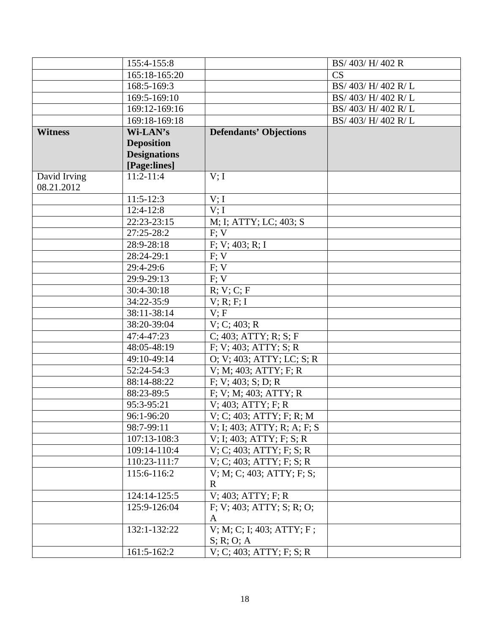|                | 155:4-155:8         |                                   | BS/ 403/ H/ 402 R    |
|----------------|---------------------|-----------------------------------|----------------------|
|                | 165:18-165:20       |                                   | CS                   |
|                | 168:5-169:3         |                                   | BS/ 403/ H/ 402 R/ L |
|                | 169:5-169:10        |                                   | BS/ 403/ H/ 402 R/ L |
|                | 169:12-169:16       |                                   | BS/ 403/ H/ 402 R/ L |
|                | 169:18-169:18       |                                   | BS/ 403/ H/ 402 R/ L |
| <b>Witness</b> | Wi-LAN's            | <b>Defendants' Objections</b>     |                      |
|                | <b>Deposition</b>   |                                   |                      |
|                | <b>Designations</b> |                                   |                      |
|                | [Page:lines]        |                                   |                      |
| David Irving   | $11:2 - 11:4$       | V; I                              |                      |
| 08.21.2012     |                     |                                   |                      |
|                | $11:5-12:3$         | V; I                              |                      |
|                | $12:4-12:8$         | V; I                              |                      |
|                | 22:23-23:15         | M; I; ATTY; LC; 403; S            |                      |
|                | 27:25-28:2          | F: V                              |                      |
|                | 28:9-28:18          | F; V; 403; R; I                   |                      |
|                | 28:24-29:1          | F; V                              |                      |
|                | 29:4-29:6           | F; V                              |                      |
|                | 29:9-29:13          | F; V                              |                      |
|                | 30:4-30:18          | R; V; C; F                        |                      |
|                | 34:22-35:9          | V; R; F; I                        |                      |
|                | 38:11-38:14         | V; F                              |                      |
|                | 38:20-39:04         | V; C; 403; R                      |                      |
|                | 47:4-47:23          | $C$ ; 403; ATTY; R; S; F          |                      |
|                | 48:05-48:19         | F; V; 403; ATTY; S; R             |                      |
|                | 49:10-49:14         | O; V; 403; ATTY; LC; S; R         |                      |
|                | 52:24-54:3          | V; M; 403; ATTY; F; R             |                      |
|                | 88:14-88:22         | F; V; 403; S; D; R                |                      |
|                | 88:23-89:5          | F: V: M: 403; ATTY; R             |                      |
|                | 95:3-95:21          | V; 403; ATTY; F; R                |                      |
|                | 96:1-96:20          | V; C; 403; ATTY; F; R; M          |                      |
|                | 98:7-99:11          | V; I; 403; ATTY; R; A; F; S       |                      |
|                | 107:13-108:3        | $V$ ; I; 403; ATTY; F; S; R       |                      |
|                | 109:14-110:4        | V; C; 403; ATTY; F; S; R          |                      |
|                | 110:23-111:7        | V; C; 403; ATTY; F; S; R          |                      |
|                | 115:6-116:2         | V; M; C; 403; ATTY; F; S;         |                      |
|                |                     | R                                 |                      |
|                | 124:14-125:5        | $V$ ; 403; ATTY; F; R             |                      |
|                | 125:9-126:04        | $F: V: 403$ ; ATTY; S; R; O;<br>A |                      |
|                | 132:1-132:22        | V; M; C; I; 403; ATTY; F;         |                      |
|                |                     | S; R; O; A                        |                      |
|                | 161:5-162:2         | V; C; 403; ATTY; F; S; R          |                      |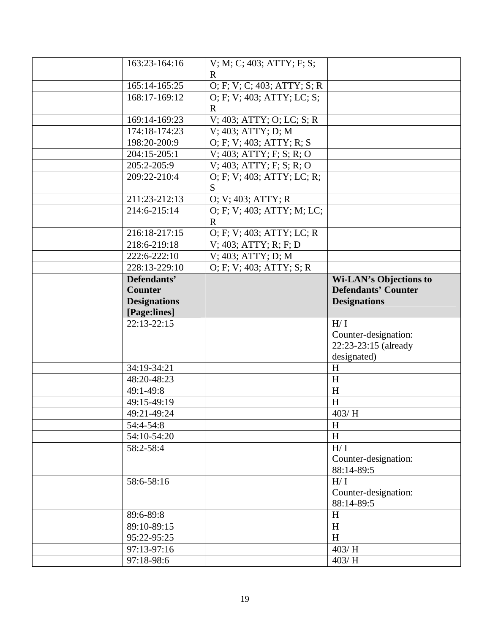| 163:23-164:16             | V; M; C; 403; ATTY; F; S;    |                               |
|---------------------------|------------------------------|-------------------------------|
|                           | R                            |                               |
| 165:14-165:25             | O; F; V; C; 403; ATTY; S; R  |                               |
| 168:17-169:12             | O; F; V; 403; ATTY; LC; S;   |                               |
|                           | $\mathbf{R}$                 |                               |
| 169:14-169:23             | $V$ ; 403; ATTY; O; LC; S; R |                               |
| 174:18-174:23             | V; 403; ATTY; D; M           |                               |
| 198:20-200:9              | O; F; V; 403; ATTY; R; S     |                               |
| 204:15-205:1              | V; 403; ATTY; F; S; R; O     |                               |
| 205:2-205:9               | $V$ ; 403; ATTY; F; S; R; O  |                               |
| 209:22-210:4              | O; F; V; 403; ATTY; LC; R;   |                               |
|                           | S                            |                               |
| 211:23-212:13             | O; V; 403; ATTY; R           |                               |
| 214:6-215:14              | O; F; V; 403; ATTY; M; LC;   |                               |
|                           | $\mathbf{R}$                 |                               |
| 216:18-217:15             | O; F; V; 403; ATTY; LC; R    |                               |
| 218:6-219:18              | V; 403; ATTY; R; F; D        |                               |
| 222:6-222:10              | V; 403; ATTY; D; M           |                               |
| 228:13-229:10             | O; F; V; 403; ATTY; S; R     |                               |
| Defendants'               |                              | <b>Wi-LAN's Objections to</b> |
| <b>Counter</b>            |                              | <b>Defendants' Counter</b>    |
| <b>Designations</b>       |                              | <b>Designations</b>           |
|                           |                              |                               |
| [Page:lines]              |                              |                               |
| $22:13-22:15$             |                              | H/I                           |
|                           |                              | Counter-designation:          |
|                           |                              | 22:23-23:15 (already          |
|                           |                              | designated)                   |
| 34:19-34:21               |                              | H                             |
| 48:20-48:23               |                              | H                             |
| 49:1-49:8                 |                              | H                             |
| 49:15-49:19               |                              | H                             |
| 49:21-49:24               |                              | 403/H                         |
| 54:4-54:8                 |                              | H                             |
| 54:10-54:20               |                              | H                             |
| 58:2-58:4                 |                              | H/I                           |
|                           |                              | Counter-designation:          |
|                           |                              | 88:14-89:5                    |
| 58:6-58:16                |                              | H/I                           |
|                           |                              | Counter-designation:          |
|                           |                              | 88:14-89:5                    |
| 89:6-89:8                 |                              | H                             |
| 89:10-89:15               |                              | H                             |
| 95:22-95:25               |                              | H                             |
| 97:13-97:16<br>97:18-98:6 |                              | 403/H<br>403/H                |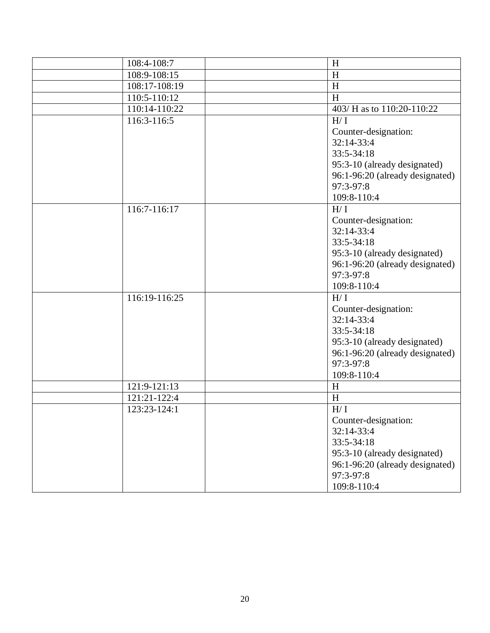| 108:4-108:7   | H                               |
|---------------|---------------------------------|
| 108:9-108:15  | H                               |
| 108:17-108:19 | H                               |
| 110:5-110:12  | $\boldsymbol{\mathrm{H}}$       |
| 110:14-110:22 | 403/ H as to 110:20-110:22      |
| 116:3-116:5   | H/I                             |
|               | Counter-designation:            |
|               | 32:14-33:4                      |
|               | $33:5 - 34:18$                  |
|               | 95:3-10 (already designated)    |
|               | 96:1-96:20 (already designated) |
|               | 97:3-97:8                       |
|               | 109:8-110:4                     |
| 116:7-116:17  | H/I                             |
|               | Counter-designation:            |
|               | $32:14-33:4$                    |
|               | 33:5-34:18                      |
|               | 95:3-10 (already designated)    |
|               | 96:1-96:20 (already designated) |
|               | 97:3-97:8                       |
|               | 109:8-110:4                     |
| 116:19-116:25 | H/I                             |
|               | Counter-designation:            |
|               | 32:14-33:4                      |
|               | 33:5-34:18                      |
|               | 95:3-10 (already designated)    |
|               | 96:1-96:20 (already designated) |
|               | 97:3-97:8                       |
|               | 109:8-110:4                     |
| 121:9-121:13  | H                               |
| 121:21-122:4  | H                               |
| 123:23-124:1  | H/I                             |
|               | Counter-designation:            |
|               | 32:14-33:4                      |
|               | 33:5-34:18                      |
|               | 95:3-10 (already designated)    |
|               | 96:1-96:20 (already designated) |
|               | 97:3-97:8                       |
|               | 109:8-110:4                     |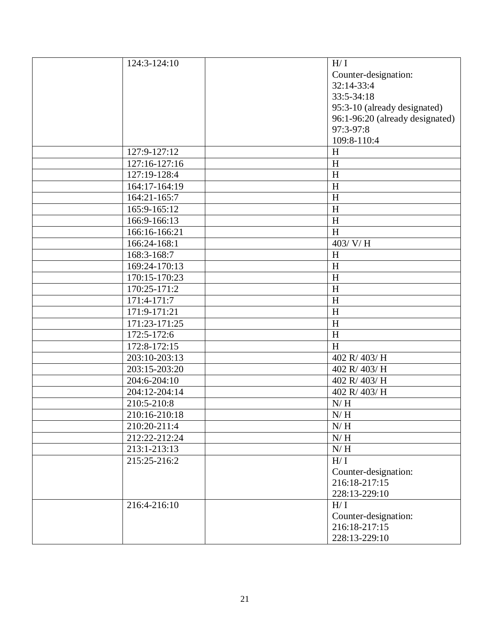| 124:3-124:10  | H/I                             |
|---------------|---------------------------------|
|               | Counter-designation:            |
|               | 32:14-33:4                      |
|               | 33:5-34:18                      |
|               | 95:3-10 (already designated)    |
|               | 96:1-96:20 (already designated) |
|               | 97:3-97:8                       |
|               | 109:8-110:4                     |
| 127:9-127:12  | H                               |
| 127:16-127:16 | H                               |
| 127:19-128:4  | H                               |
| 164:17-164:19 | H                               |
| 164:21-165:7  | $\boldsymbol{\mathrm{H}}$       |
| 165:9-165:12  | H                               |
| 166:9-166:13  | H                               |
| 166:16-166:21 | $\boldsymbol{\mathrm{H}}$       |
| 166:24-168:1  | 403/ V/H                        |
| 168:3-168:7   | H                               |
| 169:24-170:13 | H                               |
| 170:15-170:23 | H                               |
| 170:25-171:2  | $\boldsymbol{\mathrm{H}}$       |
| 171:4-171:7   | H                               |
| 171:9-171:21  | H                               |
| 171:23-171:25 | H                               |
| 172:5-172:6   | H                               |
| 172:8-172:15  | $\boldsymbol{\mathrm{H}}$       |
| 203:10-203:13 | 402 R/403/H                     |
| 203:15-203:20 | 402 R/403/H                     |
| 204:6-204:10  | 402 R/403/H                     |
| 204:12-204:14 | 402 R/403/H                     |
| 210:5-210:8   | N/H                             |
| 210:16-210:18 | $\mathrm{N}/\,\mathrm{H}$       |
| 210:20-211:4  | N/H                             |
| 212:22-212:24 | $N/H$                           |
| 213:1-213:13  | N/H                             |
| 215:25-216:2  | H/I                             |
|               | Counter-designation:            |
|               | 216:18-217:15                   |
|               | 228:13-229:10                   |
| 216:4-216:10  | H/I                             |
|               | Counter-designation:            |
|               | 216:18-217:15                   |
|               | 228:13-229:10                   |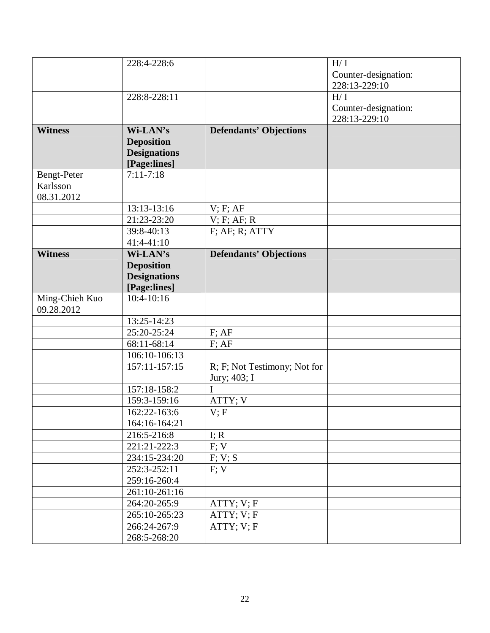|                              | 228:4-228:6         |                               | H/I                  |
|------------------------------|---------------------|-------------------------------|----------------------|
|                              |                     |                               | Counter-designation: |
|                              |                     |                               | 228:13-229:10        |
|                              | 228:8-228:11        |                               | H/I                  |
|                              |                     |                               |                      |
|                              |                     |                               | Counter-designation: |
|                              |                     |                               | 228:13-229:10        |
| <b>Witness</b>               | Wi-LAN's            | <b>Defendants' Objections</b> |                      |
|                              | <b>Deposition</b>   |                               |                      |
|                              | <b>Designations</b> |                               |                      |
|                              | [Page:lines]        |                               |                      |
| Bengt-Peter                  | $7:11 - 7:18$       |                               |                      |
| Karlsson                     |                     |                               |                      |
| 08.31.2012                   |                     |                               |                      |
|                              | 13:13-13:16         | V; F; AF                      |                      |
|                              | 21:23-23:20         | V; F; AF; R                   |                      |
|                              | 39:8-40:13          | $F$ ; A $F$ ; R; ATTY         |                      |
|                              | 41:4-41:10          |                               |                      |
| <b>Witness</b>               | Wi-LAN's            | <b>Defendants' Objections</b> |                      |
|                              | <b>Deposition</b>   |                               |                      |
|                              | <b>Designations</b> |                               |                      |
|                              | [Page:lines]        |                               |                      |
| Ming-Chieh Kuo<br>09.28.2012 | $10:4 - 10:16$      |                               |                      |
|                              | 13:25-14:23         |                               |                      |
|                              | 25:20-25:24         | $F$ ; AF                      |                      |
|                              | 68:11-68:14         | $F$ ; AF                      |                      |
|                              | 106:10-106:13       |                               |                      |
|                              | 157:11-157:15       | R; F; Not Testimony; Not for  |                      |
|                              |                     | Jury; 403; I                  |                      |
|                              | 157:18-158:2        | I                             |                      |
|                              | 159:3-159:16        | ATTY; V                       |                      |
|                              | 162:22-163:6        | V; F                          |                      |
|                              | 164:16-164:21       |                               |                      |
|                              | 216:5-216:8         | I; R                          |                      |
|                              | 221:21-222:3        | F; V                          |                      |
|                              | 234:15-234:20       | F; V; S                       |                      |
|                              | 252:3-252:11        | F; V                          |                      |
|                              | 259:16-260:4        |                               |                      |
|                              | 261:10-261:16       |                               |                      |
|                              | 264:20-265:9        | ATTY; V; F                    |                      |
|                              | 265:10-265:23       | ATTY; V; F                    |                      |
|                              | 266:24-267:9        | ATTY; V; F                    |                      |
|                              | 268:5-268:20        |                               |                      |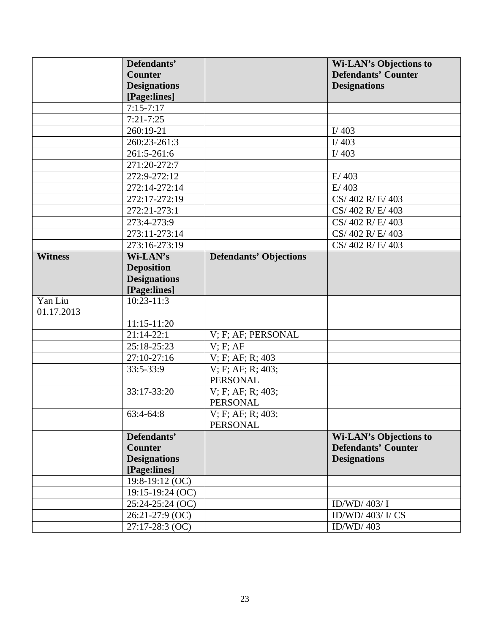|                       | Defendants'         |                               | <b>Wi-LAN's Objections to</b> |
|-----------------------|---------------------|-------------------------------|-------------------------------|
|                       | <b>Counter</b>      |                               | <b>Defendants' Counter</b>    |
|                       | <b>Designations</b> |                               | <b>Designations</b>           |
|                       | [Page:lines]        |                               |                               |
|                       | $7:15 - 7:17$       |                               |                               |
|                       | $7:21 - 7:25$       |                               |                               |
|                       | 260:19-21           |                               | I/403                         |
|                       | 260:23-261:3        |                               | I/ $403$                      |
|                       | 261:5-261:6         |                               | I/403                         |
|                       | 271:20-272:7        |                               |                               |
|                       | 272:9-272:12        |                               | E/403                         |
|                       | 272:14-272:14       |                               | E/403                         |
|                       | 272:17-272:19       |                               | CS/402 R/E/403                |
|                       | 272:21-273:1        |                               | CS/402 R/E/403                |
|                       | 273:4-273:9         |                               | CS/402 R/E/403                |
|                       | 273:11-273:14       |                               | CS/402 R/E/403                |
|                       | 273:16-273:19       |                               | CS/402 R/E/403                |
| <b>Witness</b>        | Wi-LAN's            | <b>Defendants' Objections</b> |                               |
|                       | <b>Deposition</b>   |                               |                               |
|                       | <b>Designations</b> |                               |                               |
|                       | [Page:lines]        |                               |                               |
| Yan Liu<br>01.17.2013 | $10:23 - 11:3$      |                               |                               |
|                       | $11:15-11:20$       |                               |                               |
|                       | $21:14-22:1$        | V; F; AF; PERSONAL            |                               |
|                       | 25:18-25:23         | $V$ ; $F$ ; $AF$              |                               |
|                       | 27:10-27:16         | V; F; AF; R; 403              |                               |
|                       | 33:5-33:9           | $V$ ; F; AF; R; 403;          |                               |
|                       |                     | PERSONAL                      |                               |
|                       | 33:17-33:20         | V; F; AF; R; 403;             |                               |
|                       |                     | <b>PERSONAL</b>               |                               |
|                       | 63:4-64:8           | V; F; AF; R; 403;             |                               |
|                       |                     | <b>PERSONAL</b>               |                               |
|                       | Defendants'         |                               | <b>Wi-LAN's Objections to</b> |
|                       | <b>Counter</b>      |                               | <b>Defendants' Counter</b>    |
|                       | <b>Designations</b> |                               | <b>Designations</b>           |
|                       | [Page:lines]        |                               |                               |
|                       | 19:8-19:12 (OC)     |                               |                               |
|                       | $19:15-19:24$ (OC)  |                               |                               |
|                       | $25:24-25:24$ (OC)  |                               | ID/WD/ $403/$ I               |
|                       | 26:21-27:9 (OC)     |                               | ID/WD/ 403/ I/ CS             |
|                       | $27:17-28:3$ (OC)   |                               | ID/WD/403                     |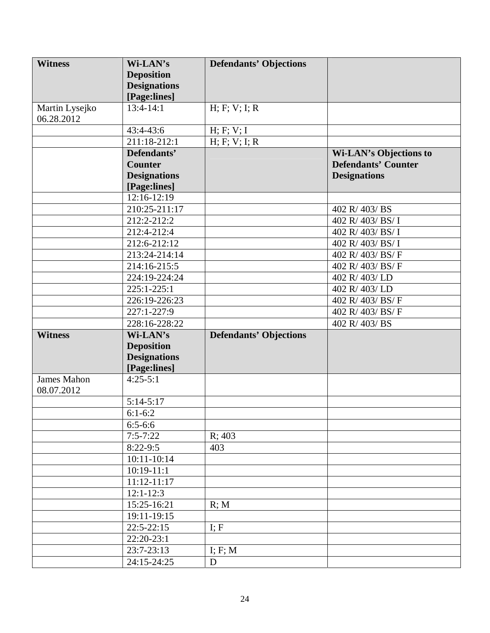| <b>Witness</b> | Wi-LAN's            | <b>Defendants' Objections</b> |                               |
|----------------|---------------------|-------------------------------|-------------------------------|
|                | <b>Deposition</b>   |                               |                               |
|                | <b>Designations</b> |                               |                               |
|                | [Page:lines]        |                               |                               |
| Martin Lysejko | $13:4-14:1$         | H; F; V; I; R                 |                               |
| 06.28.2012     |                     |                               |                               |
|                | 43:4-43:6           | H; F; V; I                    |                               |
|                | 211:18-212:1        | H; F; V; I; R                 |                               |
|                | Defendants'         |                               | <b>Wi-LAN's Objections to</b> |
|                | <b>Counter</b>      |                               | <b>Defendants' Counter</b>    |
|                | <b>Designations</b> |                               | <b>Designations</b>           |
|                | [Page:lines]        |                               |                               |
|                | $12:16-12:19$       |                               |                               |
|                | 210:25-211:17       |                               | 402 R/403/BS                  |
|                | 212:2-212:2         |                               | 402 R/403/BS/I                |
|                | 212:4-212:4         |                               | 402 R/403/BS/I                |
|                | 212:6-212:12        |                               | 402 R/403/BS/I                |
|                | 213:24-214:14       |                               | 402 R/ 403/ BS/ F             |
|                | 214:16-215:5        |                               | 402 R/ 403/ BS/ F             |
|                | 224:19-224:24       |                               | 402 R/403/LD                  |
|                | 225:1-225:1         |                               | 402 R/403/LD                  |
|                | 226:19-226:23       |                               | 402 R/ 403/ BS/ F             |
|                | 227:1-227:9         |                               | 402 R/ 403/ BS/ F             |
|                | 228:16-228:22       |                               | 402 R/403/BS                  |
| <b>Witness</b> | Wi-LAN's            | <b>Defendants' Objections</b> |                               |
|                | <b>Deposition</b>   |                               |                               |
|                | <b>Designations</b> |                               |                               |
|                | [Page:lines]        |                               |                               |
| James Mahon    | $4:25-5:1$          |                               |                               |
| 08.07.2012     |                     |                               |                               |
|                | $5:14-5:17$         |                               |                               |
|                | $6:1-6:2$           |                               |                               |
|                | $6:5-6:6$           |                               |                               |
|                | $7:5 - 7:22$        | R; 403                        |                               |
|                | $8:22-9:5$          | 403                           |                               |
|                | 10:11-10:14         |                               |                               |
|                | $10:19-11:1$        |                               |                               |
|                | $11:12 - 11:17$     |                               |                               |
|                | $12:1-12:3$         |                               |                               |
|                | 15:25-16:21         | R; M                          |                               |
|                | 19:11-19:15         |                               |                               |
|                | $22:5 - 22:15$      | I; F                          |                               |
|                | 22:20-23:1          |                               |                               |
|                | 23:7-23:13          | I; F; M                       |                               |
|                | 24:15-24:25         | D                             |                               |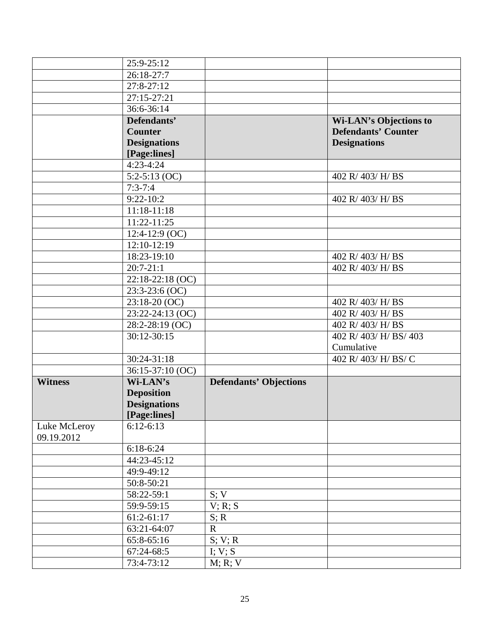|                            | 25:9-25:12          |                               |                               |
|----------------------------|---------------------|-------------------------------|-------------------------------|
|                            | 26:18-27:7          |                               |                               |
|                            | $27:8-27:12$        |                               |                               |
|                            | 27:15-27:21         |                               |                               |
|                            | 36:6-36:14          |                               |                               |
|                            | Defendants'         |                               | <b>Wi-LAN's Objections to</b> |
|                            | <b>Counter</b>      |                               | <b>Defendants' Counter</b>    |
|                            | <b>Designations</b> |                               | <b>Designations</b>           |
|                            | [Page:lines]        |                               |                               |
|                            | $4:23-4:24$         |                               |                               |
|                            | $5:2-5:13$ (OC)     |                               | 402 R/ 403/ H/ BS             |
|                            | $7:3 - 7:4$         |                               |                               |
|                            | $9:22 - 10:2$       |                               | 402 R/ 403/ H/ BS             |
|                            | $11:18-11:18$       |                               |                               |
|                            | 11:22-11:25         |                               |                               |
|                            | $12:4-12:9$ (OC)    |                               |                               |
|                            | $12:10-12:19$       |                               |                               |
|                            | 18:23-19:10         |                               | 402 R/ 403/ H/ BS             |
|                            | $20:7-21:1$         |                               | 402 R/ 403/ H/ BS             |
|                            | 22:18-22:18 (OC)    |                               |                               |
|                            | $23:3-23:6(OC)$     |                               |                               |
|                            | $23:18-20$ (OC)     |                               | 402 R/ 403/ H/ BS             |
|                            | 23:22-24:13 (OC)    |                               | 402 R/ 403/ H/ BS             |
|                            | 28:2-28:19 (OC)     |                               | 402 R/ 403/ H/ BS             |
|                            | $30:12 - 30:15$     |                               | 402 R/ 403/ H/ BS/ 403        |
|                            |                     |                               | Cumulative                    |
|                            | 30:24-31:18         |                               | 402 R/ 403/ H/ BS/ C          |
|                            | 36:15-37:10 (OC)    |                               |                               |
| <b>Witness</b>             | Wi-LAN's            | <b>Defendants' Objections</b> |                               |
|                            | <b>Deposition</b>   |                               |                               |
|                            | <b>Designations</b> |                               |                               |
|                            | [Page:lines]        |                               |                               |
| Luke McLeroy<br>09.19.2012 | $6:12-6:13$         |                               |                               |
|                            | $6:18-6:24$         |                               |                               |
|                            | 44:23-45:12         |                               |                               |
|                            | 49:9-49:12          |                               |                               |
|                            | 50:8-50:21          |                               |                               |
|                            | 58:22-59:1          | S; V                          |                               |
|                            | 59:9-59:15          | V; R; S                       |                               |
|                            | $61:2-61:17$        | S; R                          |                               |
|                            | 63:21-64:07         | $\mathbf R$                   |                               |
|                            | 65:8-65:16          | S; V; R                       |                               |
|                            | 67:24-68:5          | I; V; S                       |                               |
|                            | 73:4-73:12          | M; R; V                       |                               |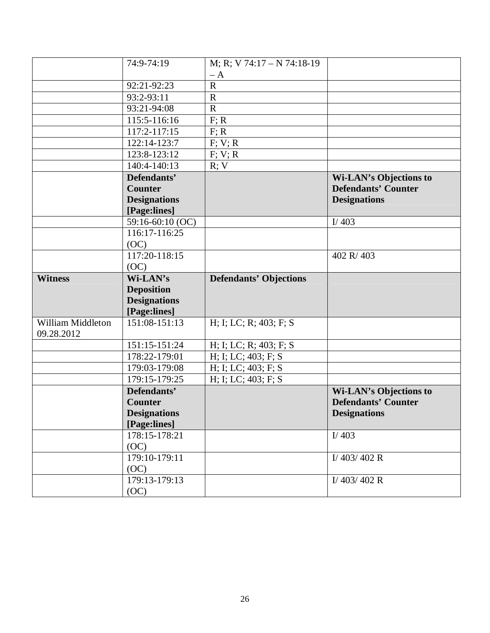|                                 | 74:9-74:19            | M; R; V 74:17 - N 74:18-19    |                               |
|---------------------------------|-----------------------|-------------------------------|-------------------------------|
|                                 |                       | $- A$                         |                               |
|                                 | 92:21-92:23           | $\mathbf R$                   |                               |
|                                 | 93:2-93:11            | $\mathbf R$                   |                               |
|                                 | 93:21-94:08           | $\mathbf R$                   |                               |
|                                 | 115:5-116:16          | F: R                          |                               |
|                                 | 117:2-117:15          | F: R                          |                               |
|                                 | 122:14-123:7          | F; V; R                       |                               |
|                                 | 123:8-123:12          | F; V; R                       |                               |
|                                 | 140:4-140:13          | R; V                          |                               |
|                                 | Defendants'           |                               | <b>Wi-LAN's Objections to</b> |
|                                 | <b>Counter</b>        |                               | <b>Defendants' Counter</b>    |
|                                 | <b>Designations</b>   |                               | <b>Designations</b>           |
|                                 | [Page:lines]          |                               |                               |
|                                 | 59:16-60:10 (OC)      |                               | I/403                         |
|                                 | 116:17-116:25         |                               |                               |
|                                 | (OC)                  |                               |                               |
|                                 | 117:20-118:15         |                               | 402 R/403                     |
|                                 | (OC)                  |                               |                               |
| <b>Witness</b>                  | Wi-LAN's              | <b>Defendants' Objections</b> |                               |
|                                 | <b>Deposition</b>     |                               |                               |
|                                 | <b>Designations</b>   |                               |                               |
|                                 | [Page:lines]          |                               |                               |
| William Middleton<br>09.28.2012 | 151:08-151:13         | H; I; LC; R; 403; F; S        |                               |
|                                 | 151:15-151:24         | H; I; LC; R; 403; F; S        |                               |
|                                 | 178:22-179:01         | H; I; LC; 403; F; S           |                               |
|                                 | 179:03-179:08         | H; I; LC; 403; F; S           |                               |
|                                 | 179:15-179:25         | H; I; LC; 403; F; S           |                               |
|                                 | Defendants'           |                               | <b>Wi-LAN's Objections to</b> |
|                                 | <b>Counter</b>        |                               | <b>Defendants' Counter</b>    |
|                                 |                       |                               |                               |
|                                 | <b>Designations</b>   |                               | <b>Designations</b>           |
|                                 | [Page:lines]          |                               |                               |
|                                 | 178:15-178:21         |                               | I/ $403$                      |
|                                 | (OC)                  |                               |                               |
|                                 | 179:10-179:11         |                               | $I/$ 403/402 R                |
|                                 | (OC)                  |                               |                               |
|                                 | 179:13-179:13<br>(OC) |                               | I/403/402 R                   |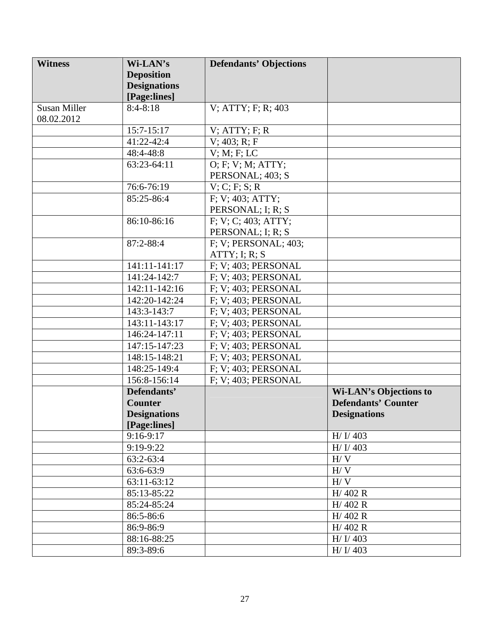| <b>Witness</b>      | Wi-LAN's            | <b>Defendants' Objections</b> |                               |
|---------------------|---------------------|-------------------------------|-------------------------------|
|                     | <b>Deposition</b>   |                               |                               |
|                     | <b>Designations</b> |                               |                               |
|                     | [Page:lines]        |                               |                               |
| <b>Susan Miller</b> | $8:4-8:18$          | $V$ ; ATTY; F; R; 403         |                               |
| 08.02.2012          |                     |                               |                               |
|                     | $15:7 - 15:17$      | $V$ ; ATTY; F; R              |                               |
|                     | 41:22-42:4          | $V$ ; 403; R; F               |                               |
|                     | 48:4-48:8           | V: M: F: LC                   |                               |
|                     | 63:23-64:11         | O; F; V; M; ATTY;             |                               |
|                     |                     | PERSONAL; 403; S              |                               |
|                     | 76:6-76:19          | V; C; F; S; R                 |                               |
|                     | 85:25-86:4          | F; V; 403; ATTY;              |                               |
|                     |                     | PERSONAL; I; R; S             |                               |
|                     | 86:10-86:16         | F; V; C; 403; ATTY;           |                               |
|                     |                     | PERSONAL; I; R; S             |                               |
|                     | 87:2-88:4           | F; V; PERSONAL; 403;          |                               |
|                     |                     | ATTY: I: R: S                 |                               |
|                     | 141:11-141:17       | F; V; 403; PERSONAL           |                               |
|                     | 141:24-142:7        | F; V; 403; PERSONAL           |                               |
|                     | 142:11-142:16       | F; V; 403; PERSONAL           |                               |
|                     | 142:20-142:24       | F; V; 403; PERSONAL           |                               |
|                     | 143:3-143:7         | F; V; 403; PERSONAL           |                               |
|                     | 143:11-143:17       | F; V; 403; PERSONAL           |                               |
|                     | 146:24-147:11       | $F$ ; V; 403; PERSONAL        |                               |
|                     | 147:15-147:23       | F; V; 403; PERSONAL           |                               |
|                     | 148:15-148:21       | F; V; 403; PERSONAL           |                               |
|                     | 148:25-149:4        | $F$ ; V; 403; PERSONAL        |                               |
|                     | 156:8-156:14        | F; V; 403; PERSONAL           |                               |
|                     | Defendants'         |                               | <b>Wi-LAN's Objections to</b> |
|                     | <b>Counter</b>      |                               | <b>Defendants' Counter</b>    |
|                     | <b>Designations</b> |                               | <b>Designations</b>           |
|                     | [Page:lines]        |                               |                               |
|                     | 9:16-9:17           |                               | H/J/403                       |
|                     | 9:19-9:22           |                               | H/J/403                       |
|                     | $63:2-63:4$         |                               | H / V                         |
|                     | 63:6-63:9           |                               | H/V                           |
|                     | $63:11-63:12$       |                               | H/V                           |
|                     | 85:13-85:22         |                               | H/402R                        |
|                     | 85:24-85:24         |                               | H/402 R                       |
|                     | 86:5-86:6           |                               | H/402R                        |
|                     | 86:9-86:9           |                               | H/402 R                       |
|                     | 88:16-88:25         |                               | H/J/403                       |
|                     | 89:3-89:6           |                               | H/J/403                       |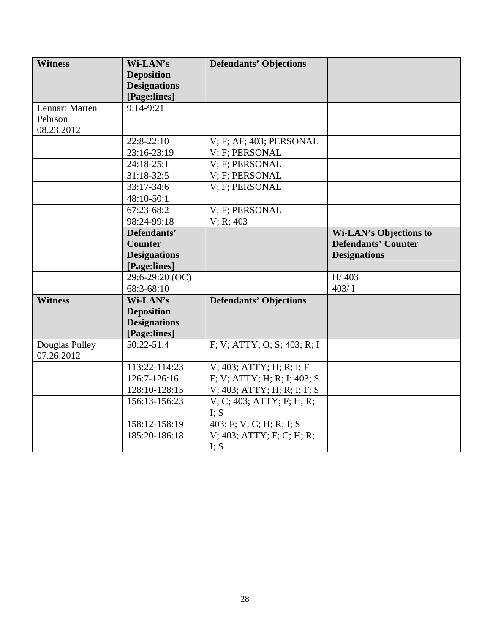| <b>Witness</b>               | Wi-LAN's            | <b>Defendants' Objections</b>  |                               |
|------------------------------|---------------------|--------------------------------|-------------------------------|
|                              | <b>Deposition</b>   |                                |                               |
|                              | <b>Designations</b> |                                |                               |
|                              | [Page:lines]        |                                |                               |
| <b>Lennart Marten</b>        | $9:14-9:21$         |                                |                               |
| Pehrson                      |                     |                                |                               |
| 08.23.2012                   |                     |                                |                               |
|                              | 22:8-22:10          | V; F; AF; 403; PERSONAL        |                               |
|                              | 23:16-23:19         | V; F; PERSONAL                 |                               |
|                              | 24:18-25:1          | V; F; PERSONAL                 |                               |
|                              | $31:18-32:5$        | V; F; PERSONAL                 |                               |
|                              | 33:17-34:6          | V; F; PERSONAL                 |                               |
|                              | 48:10-50:1          |                                |                               |
|                              | 67:23-68:2          | V; F; PERSONAL                 |                               |
|                              | 98:24-99:18         | V; R; 403                      |                               |
|                              | Defendants'         |                                | <b>Wi-LAN's Objections to</b> |
|                              | <b>Counter</b>      |                                | <b>Defendants' Counter</b>    |
|                              | <b>Designations</b> |                                | <b>Designations</b>           |
|                              | [Page:lines]        |                                |                               |
|                              | 29:6-29:20 (OC)     |                                | H/403                         |
|                              | 68:3-68:10          |                                | 403/1                         |
| <b>Witness</b>               | Wi-LAN's            | <b>Defendants' Objections</b>  |                               |
|                              | <b>Deposition</b>   |                                |                               |
|                              | <b>Designations</b> |                                |                               |
|                              | [Page:lines]        |                                |                               |
| Douglas Pulley<br>07.26.2012 | $50:22 - 51:4$      | F; V; ATTY; O; S; 403; R; I    |                               |
|                              | 113:22-114:23       | V; 403; ATTY; H; R; I; F       |                               |
|                              | 126:7-126:16        | F; V; ATTY; H; R; I; 403; S    |                               |
|                              | 128:10-128:15       | $V$ ; 403; ATTY; H; R; I; F; S |                               |
|                              | 156:13-156:23       | V; C; 403; ATTY; F; H; R;      |                               |
|                              |                     | I; S                           |                               |
|                              | 158:12-158:19       | 403; F; V; C; H; R; I; S       |                               |
|                              | 185:20-186:18       | $V$ ; 403; ATTY; F; C; H; R;   |                               |
|                              |                     | I; S                           |                               |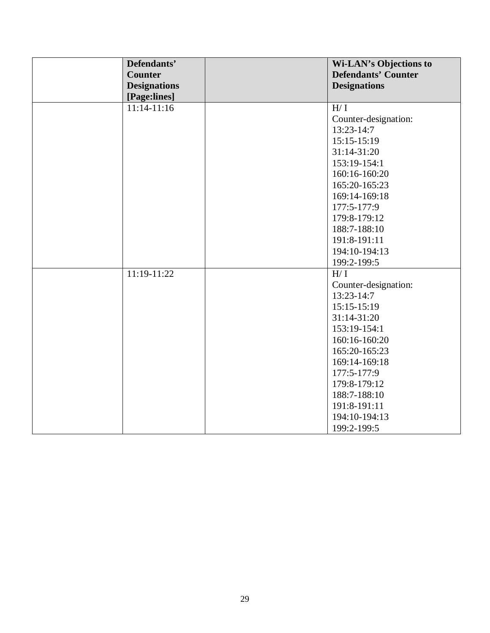| Defendants'<br><b>Counter</b> | <b>Wi-LAN's Objections to</b><br><b>Defendants' Counter</b> |
|-------------------------------|-------------------------------------------------------------|
| <b>Designations</b>           | <b>Designations</b>                                         |
| [Page:lines]                  |                                                             |
| $11:14-11:16$                 | H/I                                                         |
|                               | Counter-designation:                                        |
|                               | 13:23-14:7                                                  |
|                               | $15:15-15:19$                                               |
|                               | 31:14-31:20                                                 |
|                               | 153:19-154:1                                                |
|                               | 160:16-160:20                                               |
|                               | 165:20-165:23                                               |
|                               | 169:14-169:18                                               |
|                               | 177:5-177:9                                                 |
|                               | 179:8-179:12                                                |
|                               | 188:7-188:10                                                |
|                               | 191:8-191:11                                                |
|                               | 194:10-194:13                                               |
|                               | 199:2-199:5                                                 |
| 11:19-11:22                   | H/I                                                         |
|                               | Counter-designation:                                        |
|                               | $13:23-14:7$                                                |
|                               | $15:15-15:19$                                               |
|                               | 31:14-31:20                                                 |
|                               | 153:19-154:1                                                |
|                               | 160:16-160:20                                               |
|                               | 165:20-165:23                                               |
|                               | 169:14-169:18                                               |
|                               | 177:5-177:9                                                 |
|                               | 179:8-179:12                                                |
|                               | 188:7-188:10                                                |
|                               | 191:8-191:11                                                |
|                               | 194:10-194:13                                               |
|                               | 199:2-199:5                                                 |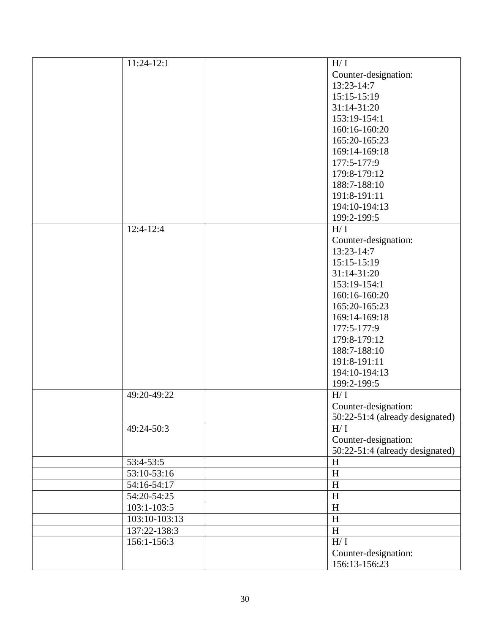| 11:24-12:1    | H/I                             |
|---------------|---------------------------------|
|               | Counter-designation:            |
|               | 13:23-14:7                      |
|               | $15:15-15:19$                   |
|               | 31:14-31:20                     |
|               | 153:19-154:1                    |
|               | 160:16-160:20                   |
|               | 165:20-165:23                   |
|               | 169:14-169:18                   |
|               |                                 |
|               | 177:5-177:9                     |
|               | 179:8-179:12                    |
|               | 188:7-188:10                    |
|               | 191:8-191:11                    |
|               | 194:10-194:13                   |
|               | 199:2-199:5                     |
| $12:4-12:4$   | H/I                             |
|               | Counter-designation:            |
|               | 13:23-14:7                      |
|               | 15:15-15:19                     |
|               | $31:14-31:20$                   |
|               | 153:19-154:1                    |
|               | 160:16-160:20                   |
|               | 165:20-165:23                   |
|               | 169:14-169:18                   |
|               | 177:5-177:9                     |
|               | 179:8-179:12                    |
|               | 188:7-188:10                    |
|               | 191:8-191:11                    |
|               | 194:10-194:13                   |
|               | 199:2-199:5                     |
| 49:20-49:22   | H/I                             |
|               | Counter-designation:            |
|               | 50:22-51:4 (already designated) |
| 49:24-50:3    | H/I                             |
|               | Counter-designation:            |
|               |                                 |
| 53:4-53:5     | 50:22-51:4 (already designated) |
|               | H                               |
| 53:10-53:16   | $\boldsymbol{\mathrm{H}}$       |
| 54:16-54:17   | $\boldsymbol{\mathrm{H}}$       |
| 54:20-54:25   | $\, {\rm H}$                    |
| 103:1-103:5   | $\, {\rm H}$                    |
| 103:10-103:13 | $\boldsymbol{\mathrm{H}}$       |
| 137:22-138:3  | H                               |
| 156:1-156:3   | $\mathrm{H}/\,\mathrm{I}$       |
|               | Counter-designation:            |
|               | 156:13-156:23                   |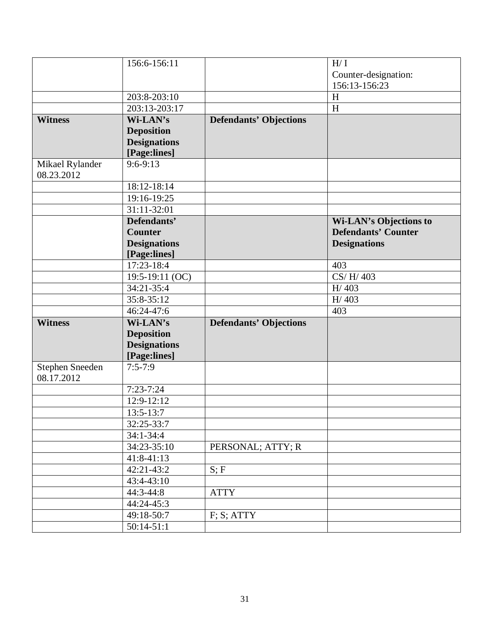|                               | 156:6-156:11        |                               | H/I                           |
|-------------------------------|---------------------|-------------------------------|-------------------------------|
|                               |                     |                               | Counter-designation:          |
|                               |                     |                               | 156:13-156:23                 |
|                               | 203:8-203:10        |                               | H                             |
|                               | 203:13-203:17       |                               | H                             |
| <b>Witness</b>                | Wi-LAN's            | <b>Defendants' Objections</b> |                               |
|                               | <b>Deposition</b>   |                               |                               |
|                               | <b>Designations</b> |                               |                               |
|                               | [Page:lines]        |                               |                               |
| Mikael Rylander<br>08.23.2012 | $9:6 - 9:13$        |                               |                               |
|                               | 18:12-18:14         |                               |                               |
|                               | 19:16-19:25         |                               |                               |
|                               | 31:11-32:01         |                               |                               |
|                               | Defendants'         |                               | <b>Wi-LAN's Objections to</b> |
|                               | <b>Counter</b>      |                               | <b>Defendants' Counter</b>    |
|                               | <b>Designations</b> |                               | <b>Designations</b>           |
|                               | [Page:lines]        |                               |                               |
|                               | 17:23-18:4          |                               | 403                           |
|                               | 19:5-19:11 (OC)     |                               | CS/H/403                      |
|                               | 34:21-35:4          |                               | H/403                         |
|                               | 35:8-35:12          |                               | H/403                         |
|                               | 46:24-47:6          |                               | 403                           |
| <b>Witness</b>                | Wi-LAN's            | <b>Defendants' Objections</b> |                               |
|                               | <b>Deposition</b>   |                               |                               |
|                               | <b>Designations</b> |                               |                               |
|                               | [Page:lines]        |                               |                               |
| Stephen Sneeden<br>08.17.2012 | $7:5 - 7:9$         |                               |                               |
|                               | $7:23 - 7:24$       |                               |                               |
|                               | 12:9-12:12          |                               |                               |
|                               | 13:5-13:7           |                               |                               |
|                               | 32:25-33:7          |                               |                               |
|                               | $34:1 - 34:4$       |                               |                               |
|                               | 34:23-35:10         | PERSONAL; ATTY; R             |                               |
|                               | 41:8-41:13          |                               |                               |
|                               | 42:21-43:2          | S; F                          |                               |
|                               | 43:4-43:10          |                               |                               |
|                               | 44:3-44:8           | <b>ATTY</b>                   |                               |
|                               | 44:24-45:3          |                               |                               |
|                               | 49:18-50:7          | F; S; ATTY                    |                               |
|                               | $50:14-51:1$        |                               |                               |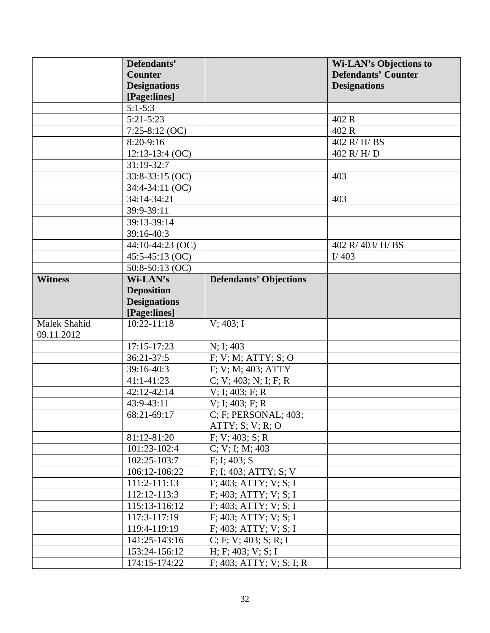|                     | Defendants'         |                               | <b>Wi-LAN's Objections to</b> |
|---------------------|---------------------|-------------------------------|-------------------------------|
|                     | <b>Counter</b>      |                               | <b>Defendants' Counter</b>    |
|                     | <b>Designations</b> |                               | <b>Designations</b>           |
|                     | [Page:lines]        |                               |                               |
|                     | $5:1 - 5:3$         |                               |                               |
|                     | $5:21 - 5:23$       |                               | 402 R                         |
|                     | $7:25-8:12$ (OC)    |                               | 402 R                         |
|                     | 8:20-9:16           |                               | $402$ R/H/BS                  |
|                     | $12:13-13:4$ (OC)   |                               | 402 R/H/D                     |
|                     | 31:19-32:7          |                               |                               |
|                     | $33:8-33:15$ (OC)   |                               | 403                           |
|                     | 34:4-34:11 (OC)     |                               |                               |
|                     | 34:14-34:21         |                               | 403                           |
|                     | 39:9-39:11          |                               |                               |
|                     | 39:13-39:14         |                               |                               |
|                     | 39:16-40:3          |                               |                               |
|                     | 44:10-44:23 (OC)    |                               | 402 R/ 403/ H/ BS             |
|                     | $45:5-45:13(OC)$    |                               | I/403                         |
|                     | 50:8-50:13 (OC)     |                               |                               |
| <b>Witness</b>      | Wi-LAN's            | <b>Defendants' Objections</b> |                               |
|                     | <b>Deposition</b>   |                               |                               |
|                     | <b>Designations</b> |                               |                               |
|                     | [Page:lines]        |                               |                               |
| <b>Malek Shahid</b> | $10:22 - 11:18$     | V: 403: I                     |                               |
| 09.11.2012          |                     |                               |                               |
|                     | 17:15-17:23         | N; I; 403                     |                               |
|                     | $36:21-37:5$        | F; V; M; ATTY; S; O           |                               |
|                     | 39:16-40:3          | F; V; M; 403; ATTY            |                               |
|                     | 41:1-41:23          | C; V; 403; N; I; F; R         |                               |
|                     | 42:12-42:14         | $V$ ; I; 403; F; R            |                               |
|                     | 43:9-43:11          | $V$ ; I; 403; F; R            |                               |
|                     | 68:21-69:17         | C; F; PERSONAL; 403;          |                               |
|                     |                     | ATTY; S; V; R; O              |                               |
|                     | 81:12-81:20         | F; V; 403; S; R               |                               |
|                     | 101:23-102:4        | C; V; I; M; 403               |                               |
|                     | 102:25-103:7        | F: I: 403; S                  |                               |
|                     | 106:12-106:22       | F; I; 403; ATTY; S; V         |                               |
|                     | 111:2-111:13        | F; 403; ATTY; V; S; I         |                               |
|                     | 112:12-113:3        | $F$ ; 403; ATTY; V; S; I      |                               |
|                     | 115:13-116:12       | $F$ ; 403; ATTY; V; S; I      |                               |
|                     | 117:3-117:19        | F: 403; ATTY; V; S; I         |                               |
|                     | 119:4-119:19        | $F$ ; 403; ATTY; V; S; I      |                               |
|                     | 141:25-143:16       | C; F; V; 403; S; R; I         |                               |
|                     | 153:24-156:12       | H; F; 403; V; S; I            |                               |
|                     | 174:15-174:22       | $F$ ; 403; ATTY; V; S; I; R   |                               |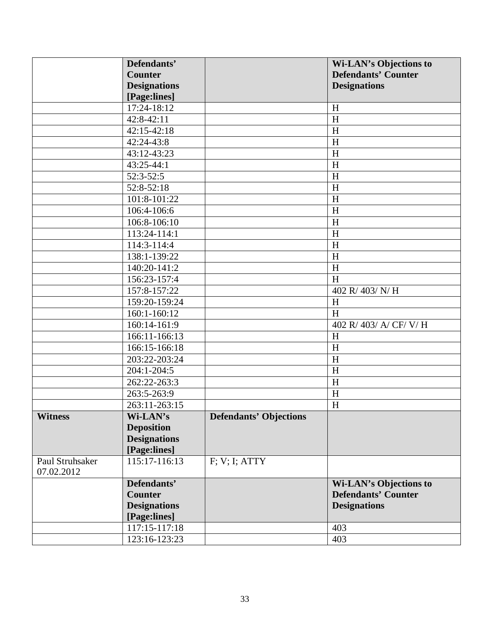|                               | Defendants'               |                               | <b>Wi-LAN's Objections to</b> |
|-------------------------------|---------------------------|-------------------------------|-------------------------------|
|                               | <b>Counter</b>            |                               | <b>Defendants' Counter</b>    |
|                               | <b>Designations</b>       |                               | <b>Designations</b>           |
|                               | [Page:lines]              |                               |                               |
|                               | 17:24-18:12               |                               | H                             |
|                               | 42:8-42:11                |                               | H                             |
|                               | $42:15-42:18$             |                               | H                             |
|                               | 42:24-43:8                |                               | H                             |
|                               | 43:12-43:23               |                               | H                             |
|                               | 43:25-44:1                |                               | H                             |
|                               | $52:3-52:5$               |                               | H                             |
|                               | 52:8-52:18                |                               | H                             |
|                               | 101:8-101:22              |                               | H                             |
|                               | 106:4-106:6               |                               | H                             |
|                               | 106:8-106:10              |                               | H                             |
|                               | 113:24-114:1              |                               | H                             |
|                               | 114:3-114:4               |                               | H                             |
|                               | 138:1-139:22              |                               | H                             |
|                               | 140:20-141:2              |                               | H                             |
|                               | 156:23-157:4              |                               | $\boldsymbol{\mathrm{H}}$     |
|                               | 157:8-157:22              |                               | 402 R/ 403/ N/ H              |
|                               | 159:20-159:24             |                               | H                             |
|                               | 160:1-160:12              |                               | $\boldsymbol{\mathrm{H}}$     |
|                               | $\overline{160:14-161:9}$ |                               | 402 R/ 403/ A/ CF/ V/ H       |
|                               | 166:11-166:13             |                               | H                             |
|                               | 166:15-166:18             |                               | H                             |
|                               | 203:22-203:24             |                               | H                             |
|                               | $204:1 - 204:5$           |                               | H                             |
|                               | 262:22-263:3              |                               | H                             |
|                               | 263:5-263:9               |                               | H                             |
|                               | 263:11-263:15             |                               | $\boldsymbol{\mathrm{H}}$     |
| Witness                       | Wi-LAN's                  | <b>Defendants' Objections</b> |                               |
|                               | <b>Deposition</b>         |                               |                               |
|                               | <b>Designations</b>       |                               |                               |
|                               | [Page:lines]              |                               |                               |
| Paul Struhsaker<br>07.02.2012 | 115:17-116:13             | F: V: I: ATTY                 |                               |
|                               | Defendants'               |                               | <b>Wi-LAN's Objections to</b> |
|                               | <b>Counter</b>            |                               | <b>Defendants' Counter</b>    |
|                               | <b>Designations</b>       |                               | <b>Designations</b>           |
|                               | [Page:lines]              |                               |                               |
|                               | 117:15-117:18             |                               | 403                           |
|                               | 123:16-123:23             |                               | 403                           |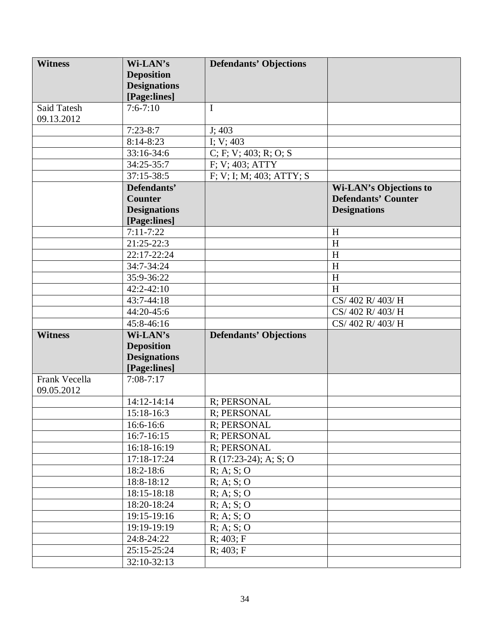| <b>Witness</b> | Wi-LAN's                 | <b>Defendants' Objections</b> |                               |
|----------------|--------------------------|-------------------------------|-------------------------------|
|                | <b>Deposition</b>        |                               |                               |
|                | <b>Designations</b>      |                               |                               |
|                | [Page:lines]             |                               |                               |
| Said Tatesh    | $7:6 - 7:10$             | I                             |                               |
| 09.13.2012     |                          |                               |                               |
|                | $7:23-8:7$               | J; 403                        |                               |
|                | $\overline{8:}14 - 8:23$ | I; $V$ ; 403                  |                               |
|                | 33:16-34:6               | C; F; V; 403; R; O; S         |                               |
|                | 34:25-35:7               | F; V; 403; ATTY               |                               |
|                | $37:15 - 38:5$           | F; V; I; M; 403; ATTY; S      |                               |
|                | Defendants'              |                               | <b>Wi-LAN's Objections to</b> |
|                | <b>Counter</b>           |                               | <b>Defendants' Counter</b>    |
|                | <b>Designations</b>      |                               | <b>Designations</b>           |
|                | [Page:lines]             |                               |                               |
|                | $7:11 - 7:22$            |                               | H                             |
|                | 21:25-22:3               |                               | H                             |
|                | 22:17-22:24              |                               | H                             |
|                | 34:7-34:24               |                               | H                             |
|                | 35:9-36:22               |                               | H                             |
|                | $42:2 - 42:10$           |                               | H                             |
|                | 43:7-44:18               |                               | CS/402 R/403/H                |
|                | 44:20-45:6               |                               | CS/402 R/403/H                |
|                | 45:8-46:16               |                               | CS/402 R/403/H                |
| <b>Witness</b> | Wi-LAN's                 | <b>Defendants' Objections</b> |                               |
|                | <b>Deposition</b>        |                               |                               |
|                | <b>Designations</b>      |                               |                               |
|                | [Page:lines]             |                               |                               |
| Frank Vecella  | $7:08 - 7:17$            |                               |                               |
| 09.05.2012     |                          |                               |                               |
|                | 14:12-14:14              | R; PERSONAL                   |                               |
|                | 15:18-16:3               | R; PERSONAL                   |                               |
|                | 16:6-16:6                | R; PERSONAL                   |                               |
|                | $16:7 - 16:15$           | R; PERSONAL                   |                               |
|                | 16:18-16:19              | R; PERSONAL                   |                               |
|                | 17:18-17:24              | $R(17:23-24)$ ; A; S; O       |                               |
|                | 18:2-18:6                | R; A; S; O                    |                               |
|                | 18:8-18:12               | R; A; S; O                    |                               |
|                | 18:15-18:18              | R; A; S; O                    |                               |
|                | 18:20-18:24              | R; A; S; O                    |                               |
|                | 19:15-19:16              | R; A; S; O                    |                               |
|                | 19:19-19:19              | R; A; S; O                    |                               |
|                | 24:8-24:22               | R; 403; F                     |                               |
|                | 25:15-25:24              | R; 403; F                     |                               |
|                | 32:10-32:13              |                               |                               |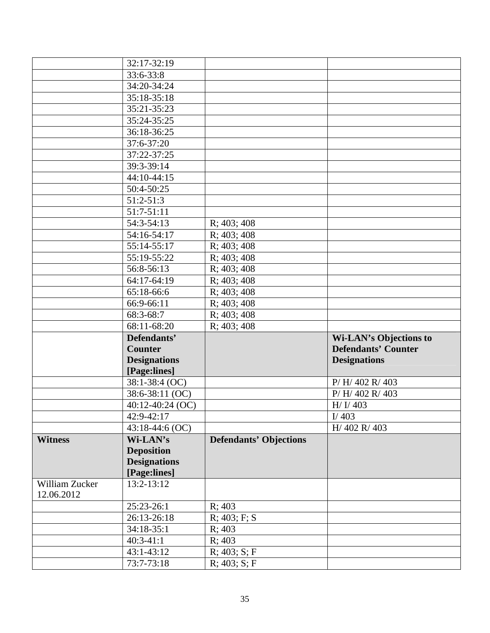|                              | 32:17-32:19         |                               |                            |
|------------------------------|---------------------|-------------------------------|----------------------------|
|                              | 33:6-33:8           |                               |                            |
|                              | 34:20-34:24         |                               |                            |
|                              | 35:18-35:18         |                               |                            |
|                              | 35:21-35:23         |                               |                            |
|                              | 35:24-35:25         |                               |                            |
|                              | 36:18-36:25         |                               |                            |
|                              | 37:6-37:20          |                               |                            |
|                              | 37:22-37:25         |                               |                            |
|                              | 39:3-39:14          |                               |                            |
|                              | 44:10-44:15         |                               |                            |
|                              | 50:4-50:25          |                               |                            |
|                              | $51:2-51:3$         |                               |                            |
|                              | 51:7-51:11          |                               |                            |
|                              | 54:3-54:13          | R; 403; 408                   |                            |
|                              | 54:16-54:17         | R; 403; 408                   |                            |
|                              | 55:14-55:17         | R; 403; 408                   |                            |
|                              | 55:19-55:22         | R; 403; 408                   |                            |
|                              | 56:8-56:13          | R; 403; 408                   |                            |
|                              | 64:17-64:19         | R; 403; 408                   |                            |
|                              | 65:18-66:6          | R; 403; 408                   |                            |
|                              | 66:9-66:11          | R; 403; 408                   |                            |
|                              |                     |                               |                            |
|                              |                     |                               |                            |
|                              | 68:3-68:7           | R; 403; 408                   |                            |
|                              | 68:11-68:20         | R; 403; 408                   |                            |
|                              | Defendants'         |                               | Wi-LAN's Objections to     |
|                              | <b>Counter</b>      |                               | <b>Defendants' Counter</b> |
|                              | <b>Designations</b> |                               | <b>Designations</b>        |
|                              | [Page:lines]        |                               |                            |
|                              | 38:1-38:4 (OC)      |                               | P/H/402 R/403              |
|                              | 38:6-38:11 (OC)     |                               | P/H/402 R/403              |
|                              | 40:12-40:24 (OC)    |                               | H/ I/ 403                  |
|                              | 42:9-42:17          |                               | I/403                      |
|                              | 43:18-44:6 (OC)     |                               | H/402 R/403                |
| <b>Witness</b>               | Wi-LAN's            | <b>Defendants' Objections</b> |                            |
|                              | <b>Deposition</b>   |                               |                            |
|                              | <b>Designations</b> |                               |                            |
|                              | [Page:lines]        |                               |                            |
| William Zucker<br>12.06.2012 | 13:2-13:12          |                               |                            |
|                              | 25:23-26:1          | R; 403                        |                            |
|                              | 26:13-26:18         | $R$ ; 403; F; S               |                            |
|                              | 34:18-35:1          | R; 403                        |                            |
|                              | $40:3-41:1$         | R; 403                        |                            |
|                              | 43:1-43:12          | R; 403; S; F                  |                            |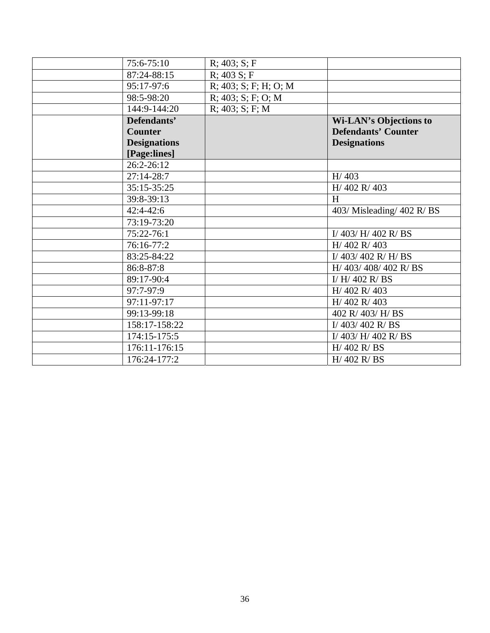| 75:6-75:10          | R; 403; S; F             |                               |
|---------------------|--------------------------|-------------------------------|
| 87:24-88:15         | $R$ ; 403 S; F           |                               |
| 95:17-97:6          | $R$ ; 403; S; F; H; O; M |                               |
| 98:5-98:20          | $R$ ; 403; S; F; O; M    |                               |
| 144:9-144:20        | R; 403; S; F; M          |                               |
| Defendants'         |                          | <b>Wi-LAN's Objections to</b> |
| <b>Counter</b>      |                          | <b>Defendants' Counter</b>    |
| <b>Designations</b> |                          | <b>Designations</b>           |
| [Page:lines]        |                          |                               |
| 26:2-26:12          |                          |                               |
| $27:14-28:7$        |                          | H/403                         |
| 35:15-35:25         |                          | H/402 R/403                   |
| 39:8-39:13          |                          | H                             |
| $42:4-42:6$         |                          | 403/ Misleading/ 402 R/ BS    |
| 73:19-73:20         |                          |                               |
| $75:22 - 76:1$      |                          | I/403/H/402 R/BS              |
| 76:16-77:2          |                          | H/402 R/403                   |
| 83:25-84:22         |                          | I/403/402 R/H/BS              |
| 86:8-87:8           |                          | H/ 403/ 408/ 402 R/ BS        |
| 89:17-90:4          |                          | I/ H/ 402 R/ BS               |
| 97:7-97:9           |                          | H/402 R/403                   |
| 97:11-97:17         |                          | H/402 R/403                   |
| 99:13-99:18         |                          | 402 R/403/H/BS                |
| 158:17-158:22       |                          | I/ $403/402$ R/BS             |
| 174:15-175:5        |                          | I/403/H/402 R/BS              |
| 176:11-176:15       |                          | H/402 R/BS                    |
| 176:24-177:2        |                          | H/402 R/BS                    |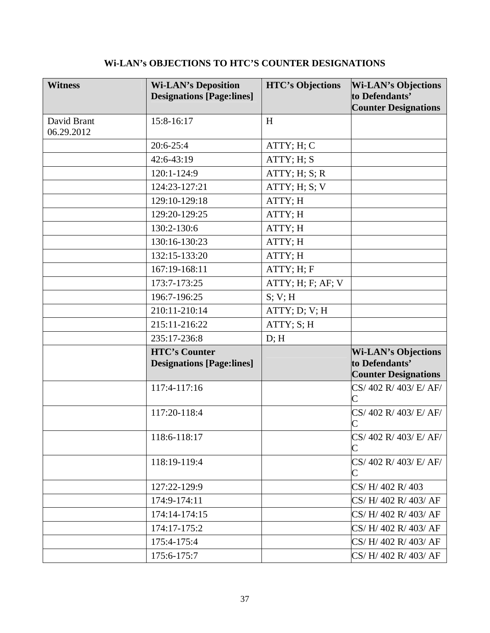# **Wi-LAN's OBJECTIONS TO HTC'S COUNTER DESIGNATIONS**

| <b>Witness</b>            | <b>Wi-LAN's Deposition</b><br><b>Designations [Page:lines]</b> | <b>HTC's Objections</b> | <b>Wi-LAN's Objections</b><br>to Defendants'<br><b>Counter Designations</b> |
|---------------------------|----------------------------------------------------------------|-------------------------|-----------------------------------------------------------------------------|
| David Brant<br>06.29.2012 | 15:8-16:17                                                     | H                       |                                                                             |
|                           | $20:6-25:4$                                                    | ATTY; H; C              |                                                                             |
|                           | 42:6-43:19                                                     | ATTY; H; S              |                                                                             |
|                           | 120:1-124:9                                                    | ATTY; H; S; R           |                                                                             |
|                           | 124:23-127:21                                                  | ATTY; H; S; V           |                                                                             |
|                           | 129:10-129:18                                                  | ATTY; H                 |                                                                             |
|                           | 129:20-129:25                                                  | ATTY; H                 |                                                                             |
|                           | 130:2-130:6                                                    | ATTY; H                 |                                                                             |
|                           | 130:16-130:23                                                  | ATTY; H                 |                                                                             |
|                           | 132:15-133:20                                                  | ATTY; H                 |                                                                             |
|                           | 167:19-168:11                                                  | ATTY; H; F              |                                                                             |
|                           | 173:7-173:25                                                   | ATTY; H; F; AF; V       |                                                                             |
|                           | 196:7-196:25                                                   | S; V; H                 |                                                                             |
|                           | 210:11-210:14                                                  | ATTY; D; V; H           |                                                                             |
|                           | 215:11-216:22                                                  | ATTY; S; H              |                                                                             |
|                           | 235:17-236:8                                                   | D; H                    |                                                                             |
|                           | <b>HTC's Counter</b><br><b>Designations [Page:lines]</b>       |                         | <b>Wi-LAN's Objections</b><br>to Defendants'<br><b>Counter Designations</b> |
|                           | 117:4-117:16                                                   |                         | CS/402 R/403/E/AF/                                                          |
|                           | 117:20-118:4                                                   |                         | CS/402 R/403/E/AF/<br>$\overline{\rm C}$                                    |
|                           | 118:6-118:17                                                   |                         | CS/402 R/403/E/AF/                                                          |
|                           | 118:19-119:4                                                   |                         | CS/402 R/403/E/AF/                                                          |
|                           | 127:22-129:9                                                   |                         | CS/H/402 R/403                                                              |
|                           | 174:9-174:11                                                   |                         | CS/H/402 R/403/AF                                                           |
|                           | 174:14-174:15                                                  |                         | $\text{CS}/\text{H}/402\text{ R}/403/\text{AF}$                             |
|                           | 174:17-175:2                                                   |                         | CS/H/402 R/403/AF                                                           |
|                           | 175:4-175:4                                                    |                         | CS/H/402 R/403/AF                                                           |
|                           | 175:6-175:7                                                    |                         | CS/H/402 R/403/AF                                                           |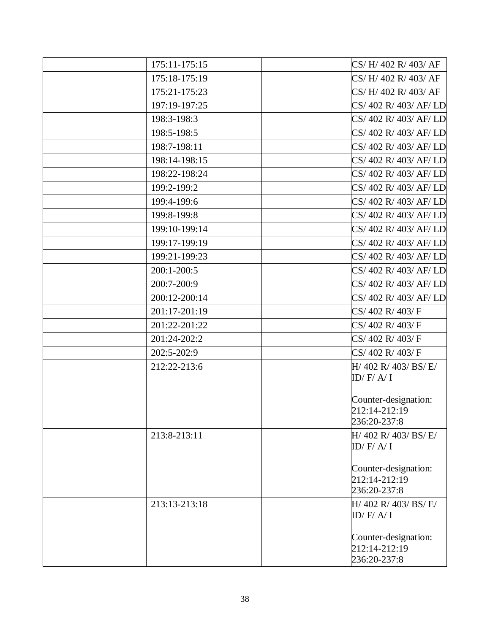| 175:11-175:15 | CS/H/402 R/403/AF                     |
|---------------|---------------------------------------|
| 175:18-175:19 | CS/H/402 R/403/AF                     |
| 175:21-175:23 | CS/H/402 R/403/AF                     |
| 197:19-197:25 | CS/402 R/403/AF/LD                    |
| 198:3-198:3   | CS/402 R/403/AF/LD                    |
| 198:5-198:5   | CS/402 R/403/AF/LD                    |
| 198:7-198:11  | CS/402 R/403/AF/LD                    |
| 198:14-198:15 | CS/402 R/403/AF/LD                    |
| 198:22-198:24 | CS/402 R/403/AF/LD                    |
| 199:2-199:2   | CS/402 R/403/AF/LD                    |
| 199:4-199:6   | CS/402 R/403/AF/LD                    |
| 199:8-199:8   | CS/402 R/403/AF/LD                    |
| 199:10-199:14 | CS/402 R/403/AF/LD                    |
| 199:17-199:19 | CS/402 R/403/AF/LD                    |
| 199:21-199:23 | CS/402 R/403/AF/LD                    |
| 200:1-200:5   | CS/402 R/403/AF/LD                    |
| 200:7-200:9   | CS/402 R/403/AF/LD                    |
| 200:12-200:14 | CS/402 R/403/AF/LD                    |
| 201:17-201:19 | CS/402 R/403/F                        |
| 201:22-201:22 | CS/402 R/403/F                        |
| 201:24-202:2  | CS/402 R/403/F                        |
| 202:5-202:9   | CS/402 R/403/F                        |
| 212:22-213:6  | $H/$ 402 R/ 403/ BS/ E/               |
|               | ID/H/A/I                              |
|               | Counter-designation:                  |
|               | 212:14-212:19                         |
|               | 236:20-237:8                          |
| 213:8-213:11  | $H/$ 402 R/ 403/ BS/ E/               |
|               | ID/H/A/I                              |
|               |                                       |
|               | Counter-designation:<br>212:14-212:19 |
|               | 236:20-237:8                          |
| 213:13-213:18 | $H/$ 402 R/ 403/ BS/ E/               |
|               | ID/H/ A/I                             |
|               |                                       |
|               | Counter-designation:<br>212:14-212:19 |
|               | 236:20-237:8                          |
|               |                                       |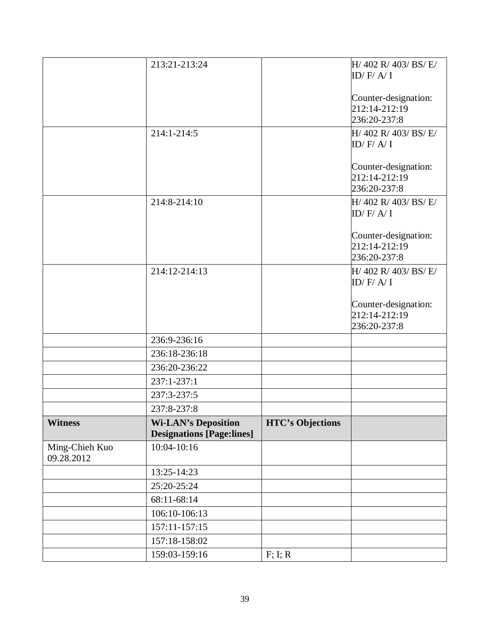|                              | 213:21-213:24                                                  |                         | $H/$ 402 R/ 403/ BS/ E/<br>ID/H/A/I   |
|------------------------------|----------------------------------------------------------------|-------------------------|---------------------------------------|
|                              |                                                                |                         |                                       |
|                              |                                                                |                         | Counter-designation:                  |
|                              |                                                                |                         | 212:14-212:19<br>236:20-237:8         |
|                              | 214:1-214:5                                                    |                         | $H/$ 402 R/ 403/ BS/ E/               |
|                              |                                                                |                         | ID/H/ A/I                             |
|                              |                                                                |                         |                                       |
|                              |                                                                |                         | Counter-designation:<br>212:14-212:19 |
|                              |                                                                |                         | 236:20-237:8                          |
|                              | 214:8-214:10                                                   |                         | $H/$ 402 R/ 403/ BS/ E/               |
|                              |                                                                |                         | ID/H/A/I                              |
|                              |                                                                |                         | Counter-designation:                  |
|                              |                                                                |                         | 212:14-212:19                         |
|                              |                                                                |                         | 236:20-237:8                          |
|                              | 214:12-214:13                                                  |                         | H/ 402 R/ 403/ BS/ E/                 |
|                              |                                                                |                         | ID/H/A/I                              |
|                              |                                                                |                         | Counter-designation:                  |
|                              |                                                                |                         | 212:14-212:19                         |
|                              |                                                                |                         | 236:20-237:8                          |
|                              | 236:9-236:16                                                   |                         |                                       |
|                              | 236:18-236:18                                                  |                         |                                       |
|                              | 236:20-236:22                                                  |                         |                                       |
|                              | 237:1-237:1                                                    |                         |                                       |
|                              | 237:3-237:5                                                    |                         |                                       |
|                              | 237:8-237:8                                                    |                         |                                       |
| <b>Witness</b>               | <b>Wi-LAN's Deposition</b><br><b>Designations [Page:lines]</b> | <b>HTC's Objections</b> |                                       |
| Ming-Chieh Kuo<br>09.28.2012 | 10:04-10:16                                                    |                         |                                       |
|                              | 13:25-14:23                                                    |                         |                                       |
|                              | 25:20-25:24                                                    |                         |                                       |
|                              | 68:11-68:14                                                    |                         |                                       |
|                              | 106:10-106:13                                                  |                         |                                       |
|                              | 157:11-157:15                                                  |                         |                                       |
|                              | 157:18-158:02                                                  |                         |                                       |
|                              | 159:03-159:16                                                  | F; I; R                 |                                       |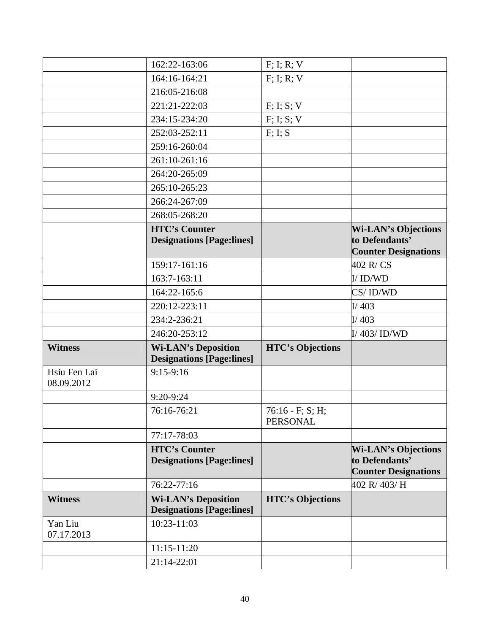|                            | 162:22-163:06                                                  | F; I; R; V                             |                                                                             |
|----------------------------|----------------------------------------------------------------|----------------------------------------|-----------------------------------------------------------------------------|
|                            | 164:16-164:21                                                  | $F$ ; I; R; V                          |                                                                             |
|                            | 216:05-216:08                                                  |                                        |                                                                             |
|                            | 221:21-222:03                                                  | F; I; S; V                             |                                                                             |
|                            | 234:15-234:20                                                  | F; I; S; V                             |                                                                             |
|                            | 252:03-252:11                                                  | F; I; S                                |                                                                             |
|                            | 259:16-260:04                                                  |                                        |                                                                             |
|                            | 261:10-261:16                                                  |                                        |                                                                             |
|                            | 264:20-265:09                                                  |                                        |                                                                             |
|                            | 265:10-265:23                                                  |                                        |                                                                             |
|                            | 266:24-267:09                                                  |                                        |                                                                             |
|                            | 268:05-268:20                                                  |                                        |                                                                             |
|                            | <b>HTC's Counter</b><br><b>Designations [Page:lines]</b>       |                                        | <b>Wi-LAN's Objections</b><br>to Defendants'<br><b>Counter Designations</b> |
|                            | 159:17-161:16                                                  |                                        | 402 R/CS                                                                    |
|                            | 163:7-163:11                                                   |                                        | I/ID/WD                                                                     |
|                            | 164:22-165:6                                                   |                                        | CS/ID/WD                                                                    |
|                            | 220:12-223:11                                                  |                                        | I/403                                                                       |
|                            | 234:2-236:21                                                   |                                        | I/403                                                                       |
|                            | 246:20-253:12                                                  |                                        | I/403/1D/WD                                                                 |
| <b>Witness</b>             | <b>Wi-LAN's Deposition</b>                                     | <b>HTC's Objections</b>                |                                                                             |
|                            | <b>Designations [Page:lines]</b>                               |                                        |                                                                             |
| Hsiu Fen Lai<br>08.09.2012 | $9:15-9:16$                                                    |                                        |                                                                             |
|                            | 9:20-9:24                                                      |                                        |                                                                             |
|                            | 76:16-76:21                                                    | $76:16 - F$ ; S; H;<br><b>PERSONAL</b> |                                                                             |
|                            | 77:17-78:03                                                    |                                        |                                                                             |
|                            | <b>HTC's Counter</b><br><b>Designations [Page:lines]</b>       |                                        | <b>Wi-LAN's Objections</b><br>to Defendants'<br><b>Counter Designations</b> |
|                            | $76:22 - 77:16$                                                |                                        | 402 R/ 403/ H                                                               |
| <b>Witness</b>             | <b>Wi-LAN's Deposition</b><br><b>Designations [Page:lines]</b> | <b>HTC's Objections</b>                |                                                                             |
| Yan Liu<br>07.17.2013      | 10:23-11:03                                                    |                                        |                                                                             |
|                            | 11:15-11:20                                                    |                                        |                                                                             |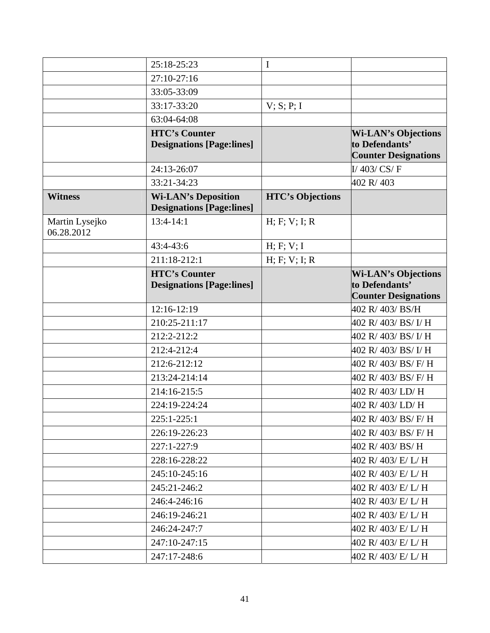|                              | 25:18-25:23                                                    | I                       |                                                                             |
|------------------------------|----------------------------------------------------------------|-------------------------|-----------------------------------------------------------------------------|
|                              | 27:10-27:16                                                    |                         |                                                                             |
|                              | 33:05-33:09                                                    |                         |                                                                             |
|                              | 33:17-33:20                                                    | V; S; P; I              |                                                                             |
|                              | 63:04-64:08                                                    |                         |                                                                             |
|                              | <b>HTC's Counter</b><br><b>Designations [Page:lines]</b>       |                         | <b>Wi-LAN's Objections</b><br>to Defendants'<br><b>Counter Designations</b> |
|                              | 24:13-26:07                                                    |                         | I/ $403/CS/F$                                                               |
|                              | 33:21-34:23                                                    |                         | 402 R/403                                                                   |
| <b>Witness</b>               | <b>Wi-LAN's Deposition</b><br><b>Designations [Page:lines]</b> | <b>HTC's Objections</b> |                                                                             |
| Martin Lysejko<br>06.28.2012 | $13:4-14:1$                                                    | H; F; V; I; R           |                                                                             |
|                              | $43:4-43:6$                                                    | H; F; V; I              |                                                                             |
|                              | 211:18-212:1                                                   | H; F; V; I; R           |                                                                             |
|                              | <b>HTC's Counter</b><br><b>Designations [Page:lines]</b>       |                         | <b>Wi-LAN's Objections</b><br>to Defendants'<br><b>Counter Designations</b> |
|                              | 12:16-12:19                                                    |                         | 402 R/403/BS/H                                                              |
|                              | 210:25-211:17                                                  |                         | 402 R/ 403/ BS/ I/ H                                                        |
|                              | 212:2-212:2                                                    |                         | 402 R/403/BS/I/H                                                            |
|                              | 212:4-212:4                                                    |                         | 402 R/ 403/ BS/ I/ H                                                        |
|                              | 212:6-212:12                                                   |                         | 402 R/ 403/ BS/ F/ H                                                        |
|                              | 213:24-214:14                                                  |                         | 402 R/ 403/ BS/ F/ H                                                        |
|                              | 214:16-215:5                                                   |                         | 402 R/403/LD/H                                                              |
|                              | 224:19-224:24                                                  |                         | 402 R/ 403/ LD/ H                                                           |
|                              | 225:1-225:1                                                    |                         | 402 R/403/BS/F/H                                                            |
|                              | 226:19-226:23                                                  |                         | 402 R/ 403/ BS/ F/ H                                                        |
|                              | 227:1-227:9                                                    |                         | 402 R/ 403/ BS/ H                                                           |
|                              | 228:16-228:22                                                  |                         | 402 R/ 403/ E/ L/ H                                                         |
|                              | 245:10-245:16                                                  |                         | 402 R/ 403/ E/ L/ H                                                         |
|                              | 245:21-246:2                                                   |                         | 402 R/ 403/ E/ L/ H                                                         |
|                              | 246:4-246:16                                                   |                         | 402 R/ 403/ E/ L/ H                                                         |
|                              | 246:19-246:21                                                  |                         | 402 R/ 403/ E/ L/ H                                                         |
|                              | 246:24-247:7                                                   |                         | 402 R/ 403/ E/ L/ H                                                         |
|                              | 247:10-247:15                                                  |                         | 402 R/ 403/ E/ L/ H                                                         |
|                              | 247:17-248:6                                                   |                         | 402 R/ 403/ E/ L/ H                                                         |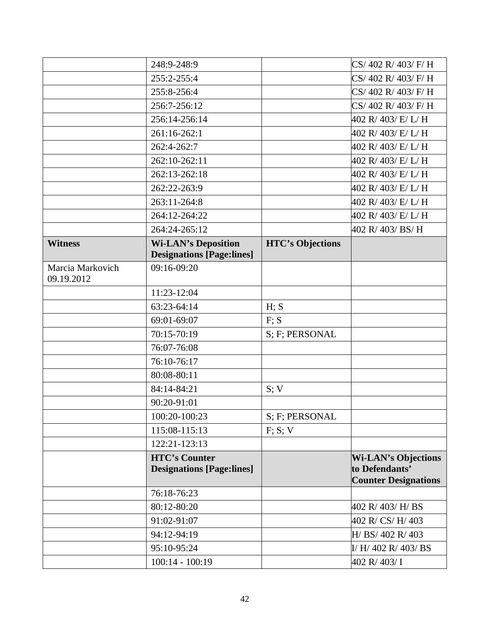|                                | 248:9-248:9                                              |                         | CS/402 R/403/F/H                                                            |
|--------------------------------|----------------------------------------------------------|-------------------------|-----------------------------------------------------------------------------|
|                                | 255:2-255:4                                              |                         | CS/402 R/403/F/H                                                            |
|                                | 255:8-256:4                                              |                         | CS/402 R/403/F/H                                                            |
|                                | 256:7-256:12                                             |                         | CS/402 R/403/F/H                                                            |
|                                | 256:14-256:14                                            |                         | 402 R/ 403/ E/ L/ H                                                         |
|                                | 261:16-262:1                                             |                         | 402 R/ 403/ E/ L/ H                                                         |
|                                | 262:4-262:7                                              |                         | 402 R/ 403/ E/ L/ H                                                         |
|                                | 262:10-262:11                                            |                         | 402 R/ 403/ E/ L/ H                                                         |
|                                | 262:13-262:18                                            |                         | 402 R/ 403/ E/ L/ H                                                         |
|                                | 262:22-263:9                                             |                         | 402 R/ 403/ E/ L/ H                                                         |
|                                | 263:11-264:8                                             |                         | 402 R/ 403/ E/ L/ H                                                         |
|                                | 264:12-264:22                                            |                         | 402 R/ 403/ E/ L/ H                                                         |
|                                | 264:24-265:12                                            |                         | 402 R/ 403/ BS/ H                                                           |
| <b>Witness</b>                 | <b>Wi-LAN's Deposition</b>                               | <b>HTC's Objections</b> |                                                                             |
|                                | <b>Designations [Page:lines]</b>                         |                         |                                                                             |
| Marcia Markovich<br>09.19.2012 | 09:16-09:20                                              |                         |                                                                             |
|                                | 11:23-12:04                                              |                         |                                                                             |
|                                | 63:23-64:14                                              | H; S                    |                                                                             |
|                                | 69:01-69:07                                              | F: S                    |                                                                             |
|                                | 70:15-70:19                                              | S; F; PERSONAL          |                                                                             |
|                                | 76:07-76:08                                              |                         |                                                                             |
|                                | 76:10-76:17                                              |                         |                                                                             |
|                                | 80:08-80:11                                              |                         |                                                                             |
|                                | 84:14-84:21                                              | S; V                    |                                                                             |
|                                | 90:20-91:01                                              |                         |                                                                             |
|                                | 100:20-100:23                                            | S; F; PERSONAL          |                                                                             |
|                                | 115:08-115:13                                            | F; S; V                 |                                                                             |
|                                | 122:21-123:13                                            |                         |                                                                             |
|                                | <b>HTC's Counter</b><br><b>Designations [Page:lines]</b> |                         | <b>Wi-LAN's Objections</b><br>to Defendants'<br><b>Counter Designations</b> |
|                                | 76:18-76:23                                              |                         |                                                                             |
|                                | 80:12-80:20                                              |                         | 402 R/ 403/ H/ BS                                                           |
|                                | 91:02-91:07                                              |                         | 402 R/CS/H/403                                                              |
|                                | 94:12-94:19                                              |                         | H/ BS/ 402 R/ 403                                                           |
|                                | 95:10-95:24                                              |                         | I/ H/ 402 R/ 403/ BS                                                        |
|                                | $100:14 - 100:19$                                        |                         | 402 R/ 403/ I                                                               |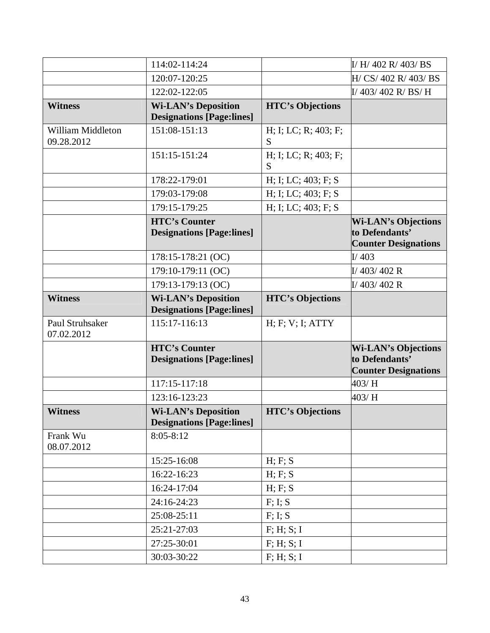|                                 | 114:02-114:24                                                  |                           | I/ H/ 402 R/ 403/ BS                                                        |
|---------------------------------|----------------------------------------------------------------|---------------------------|-----------------------------------------------------------------------------|
|                                 | 120:07-120:25                                                  |                           | H/ CS/ 402 R/ 403/ BS                                                       |
|                                 | 122:02-122:05                                                  |                           | I/403/402 R/BS/H                                                            |
| <b>Witness</b>                  | <b>Wi-LAN's Deposition</b><br><b>Designations [Page:lines]</b> | <b>HTC's Objections</b>   |                                                                             |
| William Middleton<br>09.28.2012 | 151:08-151:13                                                  | H; I; LC; R; 403; F;<br>S |                                                                             |
|                                 | 151:15-151:24                                                  | H; I; LC; R; 403; F;<br>S |                                                                             |
|                                 | 178:22-179:01                                                  | H; I; LC; 403; F; S       |                                                                             |
|                                 | 179:03-179:08                                                  | H; I; LC; 403; F; S       |                                                                             |
|                                 | 179:15-179:25                                                  | H; I; LC; 403; F; S       |                                                                             |
|                                 | <b>HTC's Counter</b><br><b>Designations [Page:lines]</b>       |                           | <b>Wi-LAN's Objections</b><br>to Defendants'<br><b>Counter Designations</b> |
|                                 | 178:15-178:21 (OC)                                             |                           | I/403                                                                       |
|                                 | 179:10-179:11 (OC)                                             |                           | $I/$ 403/402 R                                                              |
|                                 | 179:13-179:13 (OC)                                             |                           | $I/$ 403/402 R                                                              |
| <b>Witness</b>                  | <b>Wi-LAN's Deposition</b><br><b>Designations [Page:lines]</b> | <b>HTC's Objections</b>   |                                                                             |
| Paul Struhsaker<br>07.02.2012   | 115:17-116:13                                                  | H; F; V; I; ATTY          |                                                                             |
|                                 | <b>HTC's Counter</b><br><b>Designations [Page:lines]</b>       |                           | <b>Wi-LAN's Objections</b><br>to Defendants'<br><b>Counter Designations</b> |
|                                 | 117:15-117:18                                                  |                           | 403/H                                                                       |
|                                 | 123:16-123:23                                                  |                           | 403/H                                                                       |
| <b>Witness</b>                  | <b>Wi-LAN's Deposition</b><br><b>Designations [Page:lines]</b> | <b>HTC's Objections</b>   |                                                                             |
| Frank Wu<br>08.07.2012          | $8:05 - 8:12$                                                  |                           |                                                                             |
|                                 | 15:25-16:08                                                    | H; F; S                   |                                                                             |
|                                 | 16:22-16:23                                                    | H; F; S                   |                                                                             |
|                                 | 16:24-17:04                                                    | H; F; S                   |                                                                             |
|                                 | 24:16-24:23                                                    | F: I: S                   |                                                                             |
|                                 | 25:08-25:11                                                    | F; I; S                   |                                                                             |
|                                 | 25:21-27:03                                                    | F; H; S; I                |                                                                             |
|                                 | 27:25-30:01                                                    | F; H; S; I                |                                                                             |
|                                 |                                                                |                           |                                                                             |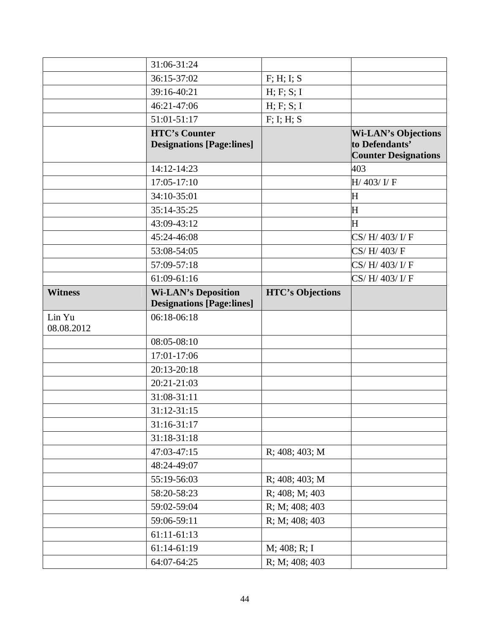|                      | 31:06-31:24                                                    |                         |                                                                             |
|----------------------|----------------------------------------------------------------|-------------------------|-----------------------------------------------------------------------------|
|                      | 36:15-37:02                                                    | F; H; I; S              |                                                                             |
|                      | 39:16-40:21                                                    | H; F; S; I              |                                                                             |
|                      | 46:21-47:06                                                    | H; F; S; I              |                                                                             |
|                      | 51:01-51:17                                                    | F; I; H; S              |                                                                             |
|                      | <b>HTC's Counter</b><br><b>Designations [Page:lines]</b>       |                         | <b>Wi-LAN's Objections</b><br>to Defendants'<br><b>Counter Designations</b> |
|                      | 14:12-14:23                                                    |                         | 403                                                                         |
|                      | 17:05-17:10                                                    |                         | H/ 403/ I/ F                                                                |
|                      | 34:10-35:01                                                    |                         | $\mathbf H$                                                                 |
|                      | 35:14-35:25                                                    |                         | $\mathbf H$                                                                 |
|                      | 43:09-43:12                                                    |                         | $\mathbf H$                                                                 |
|                      | 45:24-46:08                                                    |                         | CS/H/403/I/F                                                                |
|                      | 53:08-54:05                                                    |                         | CS/H/403/F                                                                  |
|                      | 57:09-57:18                                                    |                         | CS/H/403/I/F                                                                |
|                      | 61:09-61:16                                                    |                         | CS/H/403/I/F                                                                |
| <b>Witness</b>       | <b>Wi-LAN's Deposition</b><br><b>Designations [Page:lines]</b> | <b>HTC's Objections</b> |                                                                             |
| Lin Yu<br>08.08.2012 | 06:18-06:18                                                    |                         |                                                                             |
|                      | 08:05-08:10                                                    |                         |                                                                             |
|                      | 17:01-17:06                                                    |                         |                                                                             |
|                      | 20:13-20:18                                                    |                         |                                                                             |
|                      | 20:21-21:03                                                    |                         |                                                                             |
|                      | 31:08-31:11                                                    |                         |                                                                             |
|                      | $31:12-31:15$                                                  |                         |                                                                             |
|                      | 31:16-31:17                                                    |                         |                                                                             |
|                      | 31:18-31:18                                                    |                         |                                                                             |
|                      | 47:03-47:15                                                    | R; 408; 403; M          |                                                                             |
|                      | 48:24-49:07                                                    |                         |                                                                             |
|                      | 55:19-56:03                                                    | R; 408; 403; M          |                                                                             |
|                      | 58:20-58:23                                                    | R; 408; M; 403          |                                                                             |
|                      | 59:02-59:04                                                    | R; M; 408; 403          |                                                                             |
|                      | 59:06-59:11                                                    | R; M; 408; 403          |                                                                             |
|                      | 61:11-61:13                                                    |                         |                                                                             |
|                      | 61:14-61:19                                                    | M; 408; R; I            |                                                                             |
|                      | 64:07-64:25                                                    | R; M; 408; 403          |                                                                             |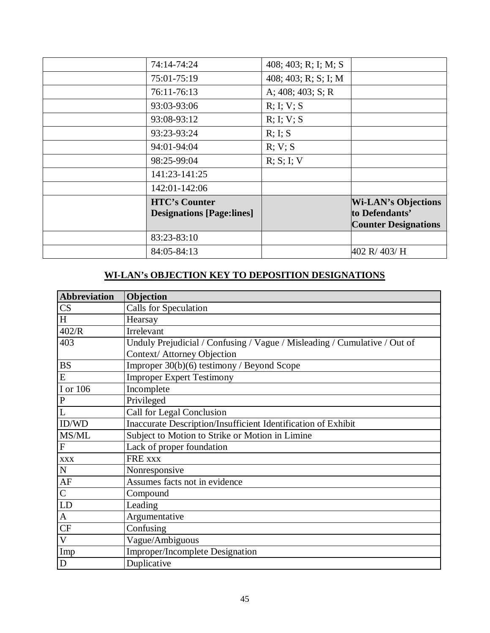| 74:14-74:24                                              | 408; 403; R; I; M; S    |                                                                             |
|----------------------------------------------------------|-------------------------|-----------------------------------------------------------------------------|
| 75:01-75:19                                              | 408; 403; R; S; I; M    |                                                                             |
| 76:11-76:13                                              | A; $408$ ; $403$ ; S; R |                                                                             |
| 93:03-93:06                                              | R; I; V; S              |                                                                             |
| 93:08-93:12                                              | R; I; V; S              |                                                                             |
| 93:23-93:24                                              | R; I; S                 |                                                                             |
| 94:01-94:04                                              | R; V; S                 |                                                                             |
| 98:25-99:04                                              | R; S; I; V              |                                                                             |
| 141:23-141:25                                            |                         |                                                                             |
| 142:01-142:06                                            |                         |                                                                             |
| <b>HTC's Counter</b><br><b>Designations [Page:lines]</b> |                         | <b>Wi-LAN's Objections</b><br>to Defendants'<br><b>Counter Designations</b> |
| 83:23-83:10                                              |                         |                                                                             |
| 84:05-84:13                                              |                         | 402 R/ 403/ H                                                               |

# **WI-LAN's OBJECTION KEY TO DEPOSITION DESIGNATIONS**

| <b>Abbreviation</b> | Objection                                                                 |
|---------------------|---------------------------------------------------------------------------|
| CS                  | <b>Calls for Speculation</b>                                              |
| H                   | Hearsay                                                                   |
| 402/R               | Irrelevant                                                                |
| 403                 | Unduly Prejudicial / Confusing / Vague / Misleading / Cumulative / Out of |
|                     | Context/ Attorney Objection                                               |
| <b>BS</b>           | Improper 30(b)(6) testimony / Beyond Scope                                |
| E                   | <b>Improper Expert Testimony</b>                                          |
| I or 106            | Incomplete                                                                |
| ${\bf P}$           | Privileged                                                                |
|                     | Call for Legal Conclusion                                                 |
| ID/WD               | Inaccurate Description/Insufficient Identification of Exhibit             |
| MS/ML               | Subject to Motion to Strike or Motion in Limine                           |
| $\mathbf F$         | Lack of proper foundation                                                 |
| <b>XXX</b>          | FRE xxx                                                                   |
| ${\bf N}$           | Nonresponsive                                                             |
| AF                  | Assumes facts not in evidence                                             |
| $\overline{C}$      | Compound                                                                  |
| LD                  | Leading                                                                   |
| $\mathbf{A}$        | Argumentative                                                             |
| CF                  | Confusing                                                                 |
| $\overline{V}$      | Vague/Ambiguous                                                           |
| Imp                 | Improper/Incomplete Designation                                           |
| D                   | Duplicative                                                               |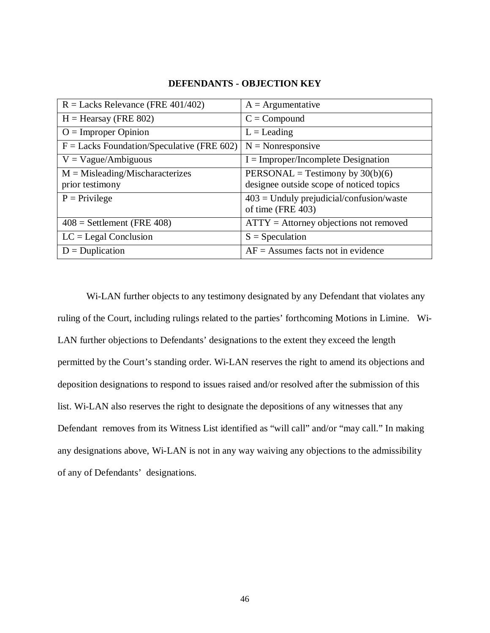| $R =$ Lacks Relevance (FRE 401/402)          | $A =$ Argumentative                                             |
|----------------------------------------------|-----------------------------------------------------------------|
| $H =$ Hearsay (FRE 802)                      | $C = Compound$                                                  |
| $O =$ Improper Opinion                       | $L =$ Leading                                                   |
| $F =$ Lacks Foundation/Speculative (FRE 602) | $N = \text{Nonresponse}$                                        |
| $V = Vague/Ambiguous$                        | $I = Improper/Incomplete Designation$                           |
| $M = Misleading/Mischaracterizes$            | PERSONAL = Testimony by $30(b)(6)$                              |
| prior testimony                              | designee outside scope of noticed topics                        |
| $P =$ Privilege                              | $403$ = Unduly prejudicial/confusion/waste<br>of time (FRE 403) |
| $408$ = Settlement (FRE 408)                 | $ATTY =$ Attorney objections not removed                        |
| $LC =$ Legal Conclusion                      | $S = Speculation$                                               |
| $D = Duplication$                            | $AF =$ Assumes facts not in evidence                            |

#### **DEFENDANTS - OBJECTION KEY**

Wi-LAN further objects to any testimony designated by any Defendant that violates any ruling of the Court, including rulings related to the parties' forthcoming Motions in Limine. Wi-LAN further objections to Defendants' designations to the extent they exceed the length permitted by the Court's standing order. Wi-LAN reserves the right to amend its objections and deposition designations to respond to issues raised and/or resolved after the submission of this list. Wi-LAN also reserves the right to designate the depositions of any witnesses that any Defendant removes from its Witness List identified as "will call" and/or "may call." In making any designations above, Wi-LAN is not in any way waiving any objections to the admissibility of any of Defendants' designations.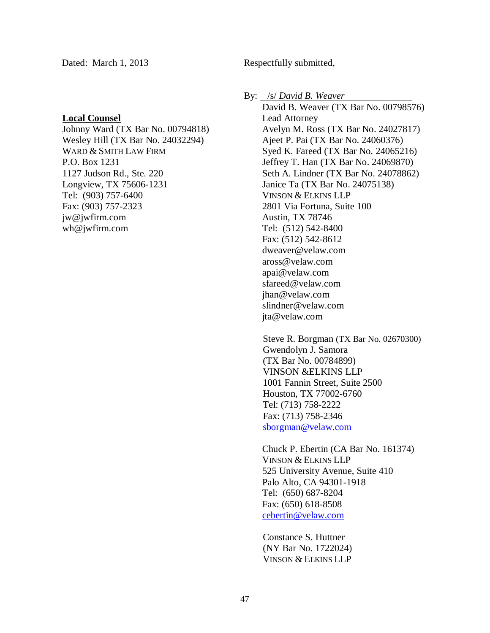#### **Local Counsel**

Johnny Ward (TX Bar No. 00794818) Wesley Hill (TX Bar No. 24032294) WARD & SMITH LAW FIRM P.O. Box 1231 1127 Judson Rd., Ste. 220 Longview, TX 75606-1231 Tel: (903) 757-6400 Fax: (903) 757-2323 jw@jwfirm.com wh@jwfirm.com

By: /s/ *David B. Weaver* 

David B. Weaver (TX Bar No. 00798576) Lead Attorney Avelyn M. Ross (TX Bar No. 24027817) Ajeet P. Pai (TX Bar No. 24060376) Syed K. Fareed (TX Bar No. 24065216) Jeffrey T. Han (TX Bar No. 24069870) Seth A. Lindner (TX Bar No. 24078862) Janice Ta (TX Bar No. 24075138) VINSON & ELKINS LLP 2801 Via Fortuna, Suite 100 Austin, TX 78746 Tel: (512) 542-8400 Fax: (512) 542-8612 dweaver@velaw.com aross@velaw.com apai@velaw.com sfareed@velaw.com jhan@velaw.com slindner@velaw.com jta@velaw.com

Steve R. Borgman (TX Bar No. 02670300) Gwendolyn J. Samora (TX Bar No. 00784899) VINSON &ELKINS LLP 1001 Fannin Street, Suite 2500 Houston, TX 77002-6760 Tel: (713) 758-2222 Fax: (713) 758-2346 sborgman@velaw.com

Chuck P. Ebertin (CA Bar No. 161374) VINSON & ELKINS LLP 525 University Avenue, Suite 410 Palo Alto, CA 94301-1918 Tel: (650) 687-8204 Fax: (650) 618-8508 cebertin@velaw.com

Constance S. Huttner (NY Bar No. 1722024) VINSON & ELKINS LLP